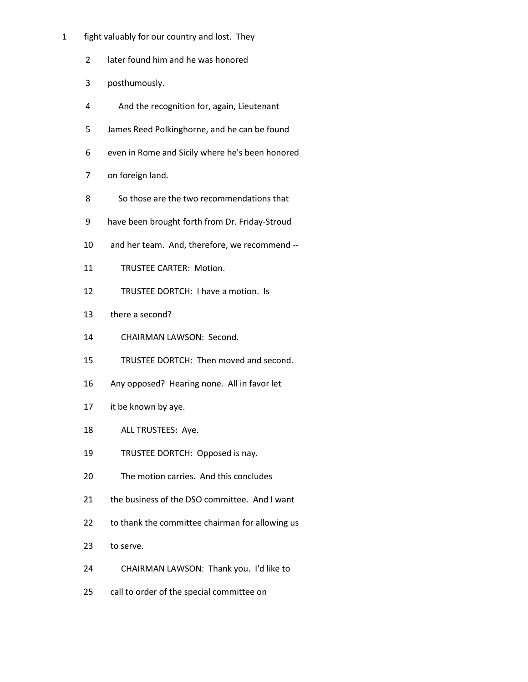- 1 fight valuably for our country and lost. They
	- 2 later found him and he was honored
	- 3 posthumously.
	- 4 And the recognition for, again, Lieutenant
	- 5 James Reed Polkinghorne, and he can be found
	- 6 even in Rome and Sicily where he's been honored
	- 7 on foreign land.
	- 8 So those are the two recommendations that
	- 9 have been brought forth from Dr. Friday-Stroud
	- 10 and her team. And, therefore, we recommend --
	- 11 TRUSTEE CARTER: Motion.
	- 12 TRUSTEE DORTCH: I have a motion. Is
	- 13 there a second?
	- 14 CHAIRMAN LAWSON: Second.
	- 15 TRUSTEE DORTCH: Then moved and second.
	- 16 Any opposed? Hearing none. All in favor let
	- 17 it be known by aye.
	- 18 ALL TRUSTEES: Aye.
	- 19 TRUSTEE DORTCH: Opposed is nay.
	- 20 The motion carries. And this concludes
	- 21 the business of the DSO committee. And I want
	- 22 to thank the committee chairman for allowing us
	- 23 to serve.
	- 24 CHAIRMAN LAWSON: Thank you. I'd like to
	- 25 call to order of the special committee on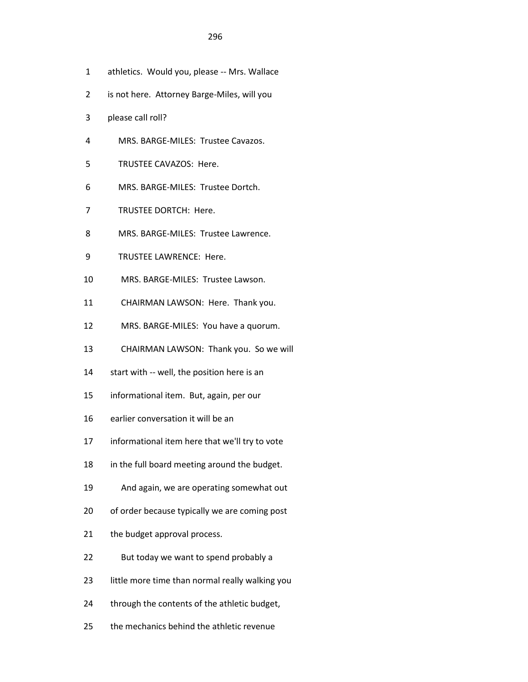- 1 athletics. Would you, please -- Mrs. Wallace
- 2 is not here. Attorney Barge-Miles, will you
- 3 please call roll?
- 4 MRS. BARGE-MILES: Trustee Cavazos.
- 5 TRUSTEE CAVAZOS: Here.
- 6 MRS. BARGE-MILES: Trustee Dortch.
- 7 TRUSTEE DORTCH: Here.
- 8 MRS. BARGE-MILES: Trustee Lawrence.
- 9 TRUSTEE LAWRENCE: Here.
- 10 MRS. BARGE-MILES: Trustee Lawson.
- 11 CHAIRMAN LAWSON: Here. Thank you.
- 12 MRS. BARGE-MILES: You have a quorum.
- 13 CHAIRMAN LAWSON: Thank you. So we will
- 14 start with -- well, the position here is an
- 15 informational item. But, again, per our
- 16 earlier conversation it will be an
- 17 informational item here that we'll try to vote
- 18 in the full board meeting around the budget.
- 19 And again, we are operating somewhat out
- 20 of order because typically we are coming post
- 21 the budget approval process.
- 22 But today we want to spend probably a
- 23 little more time than normal really walking you
- 24 through the contents of the athletic budget,
- 25 the mechanics behind the athletic revenue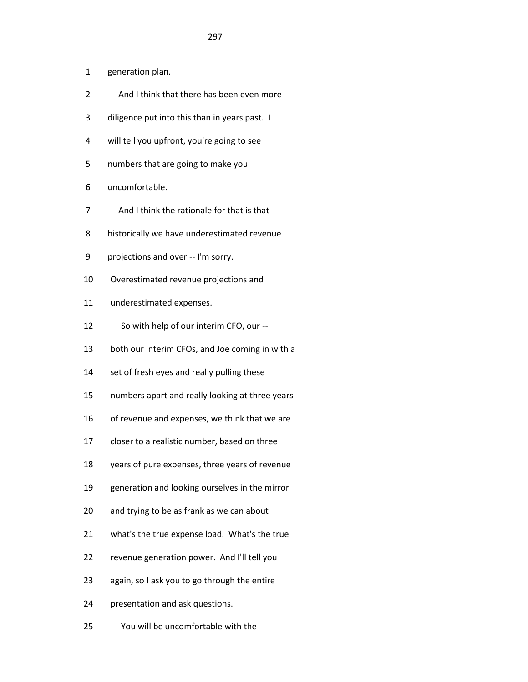- 1 generation plan.
- 2 And I think that there has been even more
- 3 diligence put into this than in years past. I
- 4 will tell you upfront, you're going to see
- 5 numbers that are going to make you
- 6 uncomfortable.
- 7 And I think the rationale for that is that
- 8 historically we have underestimated revenue
- 9 projections and over -- I'm sorry.
- 10 Overestimated revenue projections and
- 11 underestimated expenses.
- 12 So with help of our interim CFO, our --
- 13 both our interim CFOs, and Joe coming in with a
- 14 set of fresh eyes and really pulling these
- 15 numbers apart and really looking at three years
- 16 of revenue and expenses, we think that we are
- 17 closer to a realistic number, based on three
- 18 years of pure expenses, three years of revenue
- 19 generation and looking ourselves in the mirror
- 20 and trying to be as frank as we can about
- 21 what's the true expense load. What's the true
- 22 revenue generation power. And I'll tell you
- 23 again, so I ask you to go through the entire
- 24 presentation and ask questions.
- 25 You will be uncomfortable with the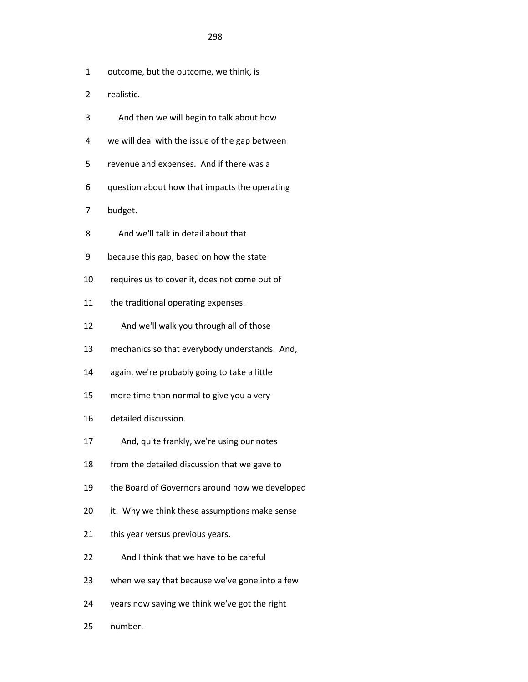- 1 outcome, but the outcome, we think, is
- 2 realistic.
- 3 And then we will begin to talk about how
- 4 we will deal with the issue of the gap between
- 5 revenue and expenses. And if there was a
- 6 question about how that impacts the operating
- 7 budget.
- 8 And we'll talk in detail about that
- 9 because this gap, based on how the state
- 10 requires us to cover it, does not come out of
- 11 the traditional operating expenses.
- 12 And we'll walk you through all of those
- 13 mechanics so that everybody understands. And,
- 14 again, we're probably going to take a little
- 15 more time than normal to give you a very
- 16 detailed discussion.
- 17 And, quite frankly, we're using our notes
- 18 from the detailed discussion that we gave to
- 19 the Board of Governors around how we developed
- 20 it. Why we think these assumptions make sense
- 21 this year versus previous years.
- 22 And I think that we have to be careful
- 23 when we say that because we've gone into a few
- 24 years now saying we think we've got the right
- 25 number.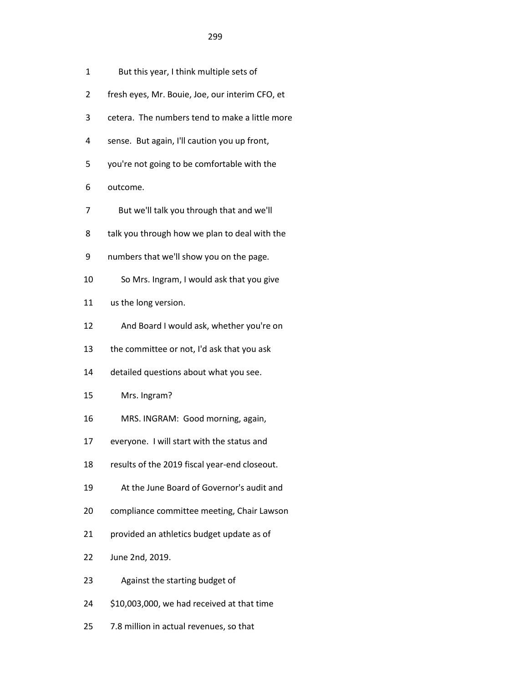|  | But this year, I think multiple sets of |
|--|-----------------------------------------|
|--|-----------------------------------------|

- 2 fresh eyes, Mr. Bouie, Joe, our interim CFO, et
- 3 cetera. The numbers tend to make a little more
- 4 sense. But again, I'll caution you up front,
- 5 you're not going to be comfortable with the
- 6 outcome.
- 7 But we'll talk you through that and we'll
- 8 talk you through how we plan to deal with the
- 9 numbers that we'll show you on the page.
- 10 So Mrs. Ingram, I would ask that you give
- 11 us the long version.
- 12 And Board I would ask, whether you're on
- 13 the committee or not, I'd ask that you ask
- 14 detailed questions about what you see.

## 15 Mrs. Ingram?

- 16 MRS. INGRAM: Good morning, again,
- 17 everyone. I will start with the status and
- 18 results of the 2019 fiscal year-end closeout.
- 19 At the June Board of Governor's audit and
- 20 compliance committee meeting, Chair Lawson
- 21 provided an athletics budget update as of
- 22 June 2nd, 2019.
- 23 Against the starting budget of
- 24 \$10,003,000, we had received at that time
- 25 7.8 million in actual revenues, so that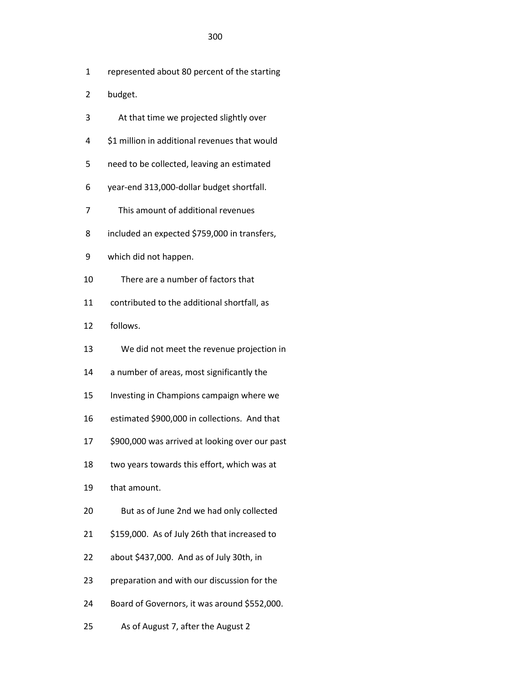- 1 represented about 80 percent of the starting
- 2 budget.
- 3 At that time we projected slightly over
- 4 \$1 million in additional revenues that would
- 5 need to be collected, leaving an estimated
- 6 year-end 313,000-dollar budget shortfall.
- 7 This amount of additional revenues
- 8 included an expected \$759,000 in transfers,
- 9 which did not happen.
- 10 There are a number of factors that
- 11 contributed to the additional shortfall, as
- 12 follows.
- 13 We did not meet the revenue projection in
- 14 a number of areas, most significantly the
- 15 Investing in Champions campaign where we
- 16 estimated \$900,000 in collections. And that
- 17 \$900,000 was arrived at looking over our past
- 18 two years towards this effort, which was at
- 19 that amount.
- 20 But as of June 2nd we had only collected
- 21 \$159,000. As of July 26th that increased to
- 22 about \$437,000. And as of July 30th, in
- 23 preparation and with our discussion for the
- 24 Board of Governors, it was around \$552,000.
- 25 As of August 7, after the August 2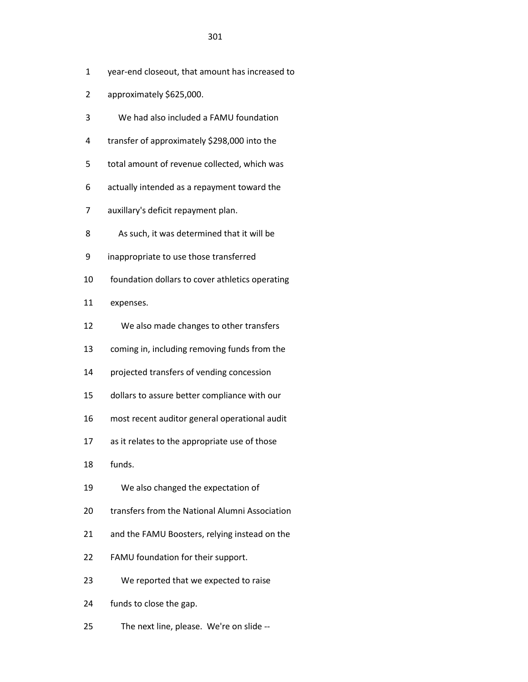- 1 year-end closeout, that amount has increased to
- 2 approximately \$625,000.
- 3 We had also included a FAMU foundation
- 4 transfer of approximately \$298,000 into the
- 5 total amount of revenue collected, which was
- 6 actually intended as a repayment toward the
- 7 auxillary's deficit repayment plan.
- 8 As such, it was determined that it will be
- 9 inappropriate to use those transferred
- 10 foundation dollars to cover athletics operating
- 11 expenses.
- 12 We also made changes to other transfers
- 13 coming in, including removing funds from the
- 14 projected transfers of vending concession
- 15 dollars to assure better compliance with our
- 16 most recent auditor general operational audit
- 17 as it relates to the appropriate use of those
- 18 funds.
- 19 We also changed the expectation of
- 20 transfers from the National Alumni Association
- 21 and the FAMU Boosters, relying instead on the
- 22 FAMU foundation for their support.
- 23 We reported that we expected to raise
- 24 funds to close the gap.
- 25 The next line, please. We're on slide --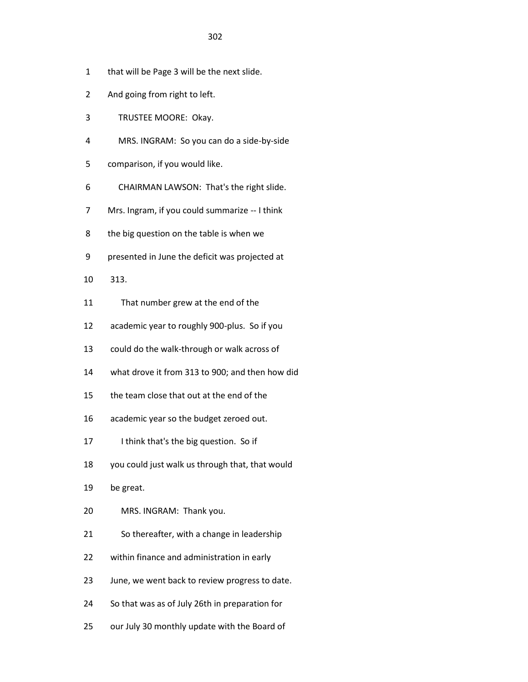- 1 that will be Page 3 will be the next slide.
- 2 And going from right to left.
- 3 TRUSTEE MOORE: Okay.
- 4 MRS. INGRAM: So you can do a side-by-side
- 5 comparison, if you would like.
- 6 CHAIRMAN LAWSON: That's the right slide.
- 7 Mrs. Ingram, if you could summarize -- I think
- 8 the big question on the table is when we
- 9 presented in June the deficit was projected at
- 10 313.
- 11 That number grew at the end of the
- 12 academic year to roughly 900-plus. So if you
- 13 could do the walk-through or walk across of
- 14 what drove it from 313 to 900; and then how did
- 15 the team close that out at the end of the
- 16 academic year so the budget zeroed out.
- 17 I think that's the big question. So if
- 18 you could just walk us through that, that would
- 19 be great.
- 20 MRS. INGRAM: Thank you.
- 21 So thereafter, with a change in leadership
- 22 within finance and administration in early
- 23 June, we went back to review progress to date.
- 24 So that was as of July 26th in preparation for
- 25 our July 30 monthly update with the Board of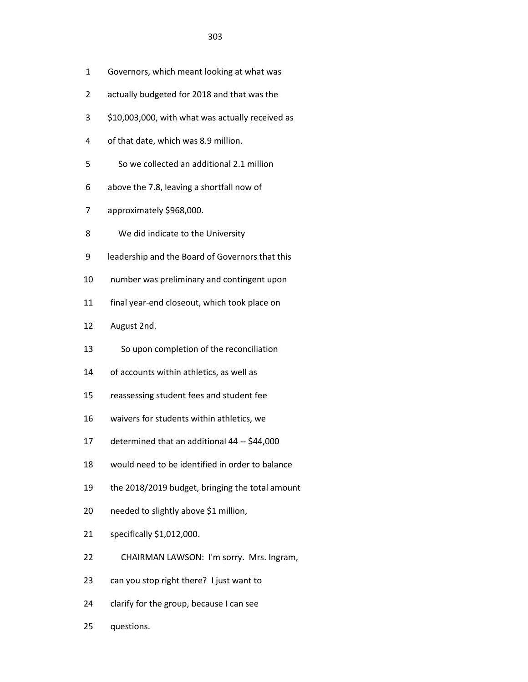- 1 Governors, which meant looking at what was
- 2 actually budgeted for 2018 and that was the
- 3 \$10,003,000, with what was actually received as
- 4 of that date, which was 8.9 million.
- 5 So we collected an additional 2.1 million
- 6 above the 7.8, leaving a shortfall now of
- 7 approximately \$968,000.
- 8 We did indicate to the University
- 9 leadership and the Board of Governors that this
- 10 number was preliminary and contingent upon
- 11 final year-end closeout, which took place on
- 12 August 2nd.
- 13 So upon completion of the reconciliation
- 14 of accounts within athletics, as well as
- 15 reassessing student fees and student fee
- 16 waivers for students within athletics, we
- 17 determined that an additional 44 -- \$44,000
- 18 would need to be identified in order to balance
- 19 the 2018/2019 budget, bringing the total amount
- 20 needed to slightly above \$1 million,
- 21 specifically \$1,012,000.
- 22 CHAIRMAN LAWSON: I'm sorry. Mrs. Ingram,
- 23 can you stop right there? I just want to
- 24 clarify for the group, because I can see
- 25 questions.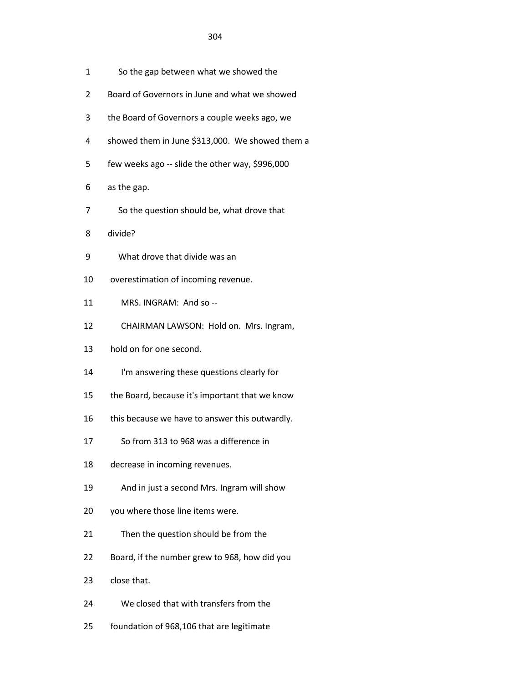- 1 So the gap between what we showed the
- 2 Board of Governors in June and what we showed
- 3 the Board of Governors a couple weeks ago, we
- 4 showed them in June \$313,000. We showed them a
- 5 few weeks ago -- slide the other way, \$996,000
- 6 as the gap.
- 7 So the question should be, what drove that
- 8 divide?
- 9 What drove that divide was an
- 10 overestimation of incoming revenue.
- 11 MRS. INGRAM: And so --
- 12 CHAIRMAN LAWSON: Hold on. Mrs. Ingram,
- 13 hold on for one second.
- 14 I'm answering these questions clearly for
- 15 the Board, because it's important that we know
- 16 this because we have to answer this outwardly.
- 17 So from 313 to 968 was a difference in
- 18 decrease in incoming revenues.
- 19 And in just a second Mrs. Ingram will show
- 20 you where those line items were.
- 21 Then the question should be from the
- 22 Board, if the number grew to 968, how did you
- 23 close that.
- 24 We closed that with transfers from the
- 25 foundation of 968,106 that are legitimate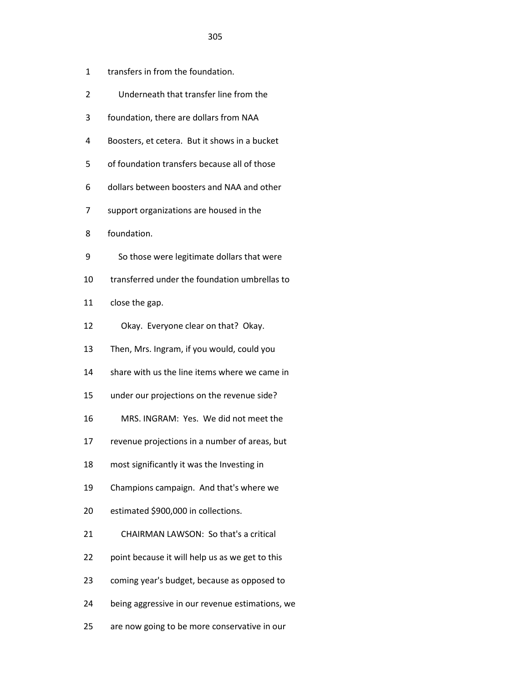- 1 transfers in from the foundation.
- 2 Underneath that transfer line from the
- 3 foundation, there are dollars from NAA
- 4 Boosters, et cetera. But it shows in a bucket
- 5 of foundation transfers because all of those
- 6 dollars between boosters and NAA and other
- 7 support organizations are housed in the
- 8 foundation.
- 9 So those were legitimate dollars that were
- 10 transferred under the foundation umbrellas to
- 11 close the gap.
- 12 Okay. Everyone clear on that? Okay.
- 13 Then, Mrs. Ingram, if you would, could you
- 14 share with us the line items where we came in
- 15 under our projections on the revenue side?
- 16 MRS. INGRAM: Yes. We did not meet the
- 17 revenue projections in a number of areas, but
- 18 most significantly it was the Investing in
- 19 Champions campaign. And that's where we
- 20 estimated \$900,000 in collections.
- 21 CHAIRMAN LAWSON: So that's a critical
- 22 point because it will help us as we get to this
- 23 coming year's budget, because as opposed to
- 24 being aggressive in our revenue estimations, we
- 25 are now going to be more conservative in our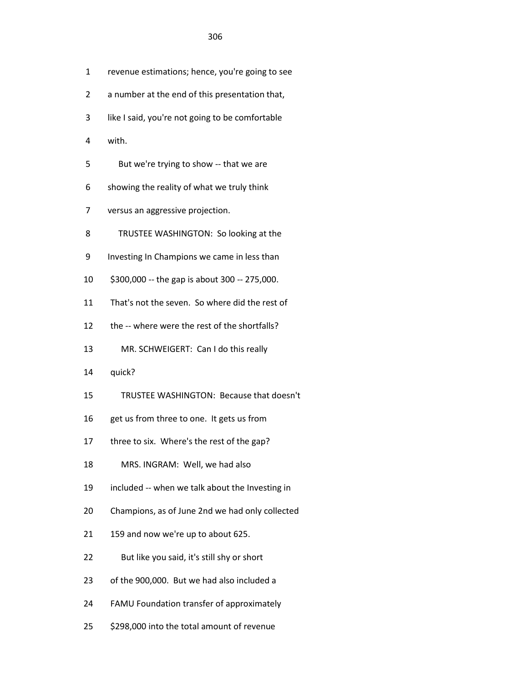- 1 revenue estimations; hence, you're going to see
- 2 a number at the end of this presentation that,
- 3 like I said, you're not going to be comfortable
- 4 with.
- 5 But we're trying to show -- that we are
- 6 showing the reality of what we truly think
- 7 versus an aggressive projection.
- 8 TRUSTEE WASHINGTON: So looking at the
- 9 Investing In Champions we came in less than
- 10 \$300,000 -- the gap is about 300 -- 275,000.
- 11 That's not the seven. So where did the rest of
- 12 the -- where were the rest of the shortfalls?
- 13 MR. SCHWEIGERT: Can I do this really
- 14 quick?
- 15 TRUSTEE WASHINGTON: Because that doesn't
- 16 get us from three to one. It gets us from
- 17 three to six. Where's the rest of the gap?
- 18 MRS. INGRAM: Well, we had also
- 19 included -- when we talk about the Investing in
- 20 Champions, as of June 2nd we had only collected
- 21 159 and now we're up to about 625.
- 22 But like you said, it's still shy or short
- 23 of the 900,000. But we had also included a
- 24 FAMU Foundation transfer of approximately
- 25 \$298,000 into the total amount of revenue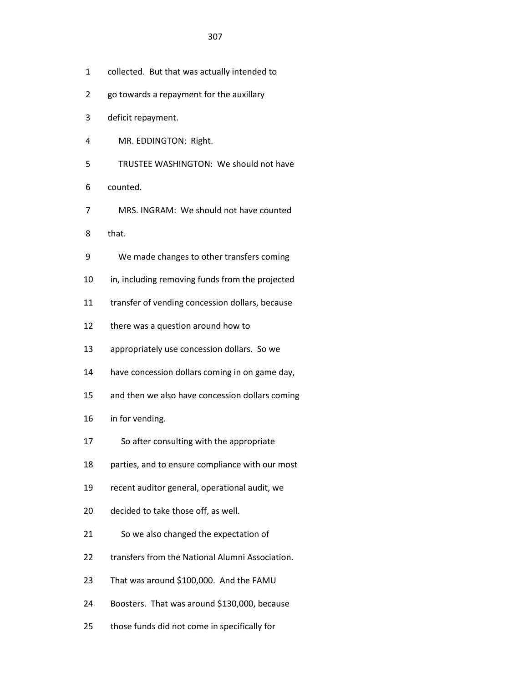- 1 collected. But that was actually intended to
- 2 go towards a repayment for the auxillary
- 3 deficit repayment.
- 4 MR. EDDINGTON: Right.
- 5 TRUSTEE WASHINGTON: We should not have
- 6 counted.
- 7 MRS. INGRAM: We should not have counted
- 8 that.
- 9 We made changes to other transfers coming
- 10 in, including removing funds from the projected
- 11 transfer of vending concession dollars, because
- 12 there was a question around how to
- 13 appropriately use concession dollars. So we
- 14 have concession dollars coming in on game day,
- 15 and then we also have concession dollars coming
- 16 in for vending.
- 17 So after consulting with the appropriate
- 18 parties, and to ensure compliance with our most
- 19 recent auditor general, operational audit, we
- 20 decided to take those off, as well.
- 21 So we also changed the expectation of
- 22 transfers from the National Alumni Association.
- 23 That was around \$100,000. And the FAMU
- 24 Boosters. That was around \$130,000, because
- 25 those funds did not come in specifically for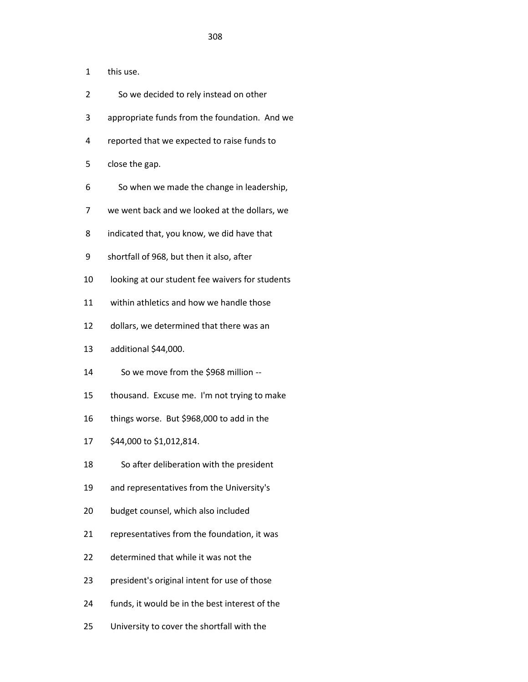- 1 this use.
- 2 So we decided to rely instead on other
- 3 appropriate funds from the foundation. And we
- 4 reported that we expected to raise funds to
- 5 close the gap.
- 6 So when we made the change in leadership,
- 7 we went back and we looked at the dollars, we
- 8 indicated that, you know, we did have that
- 9 shortfall of 968, but then it also, after
- 10 looking at our student fee waivers for students
- 11 within athletics and how we handle those
- 12 dollars, we determined that there was an
- 13 additional \$44,000.
- 14 So we move from the \$968 million --
- 15 thousand. Excuse me. I'm not trying to make
- 16 things worse. But \$968,000 to add in the
- 17 \$44,000 to \$1,012,814.
- 18 So after deliberation with the president
- 19 and representatives from the University's
- 20 budget counsel, which also included
- 21 representatives from the foundation, it was
- 22 determined that while it was not the
- 23 president's original intent for use of those
- 24 funds, it would be in the best interest of the
- 25 University to cover the shortfall with the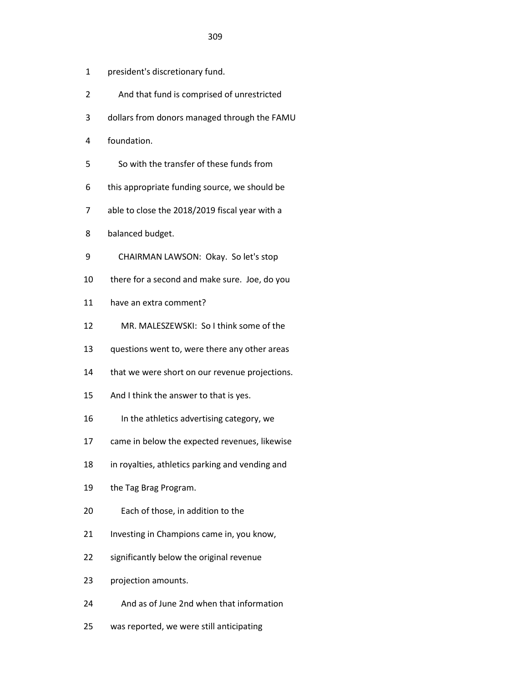- 1 president's discretionary fund.
- 2 And that fund is comprised of unrestricted
- 3 dollars from donors managed through the FAMU
- 4 foundation.
- 5 So with the transfer of these funds from
- 6 this appropriate funding source, we should be
- 7 able to close the 2018/2019 fiscal year with a
- 8 balanced budget.
- 9 CHAIRMAN LAWSON: Okay. So let's stop
- 10 there for a second and make sure. Joe, do you
- 11 have an extra comment?
- 12 MR. MALESZEWSKI: So I think some of the
- 13 questions went to, were there any other areas
- 14 that we were short on our revenue projections.
- 15 And I think the answer to that is yes.
- 16 In the athletics advertising category, we
- 17 came in below the expected revenues, likewise
- 18 in royalties, athletics parking and vending and
- 19 the Tag Brag Program.
- 20 Each of those, in addition to the
- 21 Investing in Champions came in, you know,
- 22 significantly below the original revenue
- 23 projection amounts.
- 24 And as of June 2nd when that information
- 25 was reported, we were still anticipating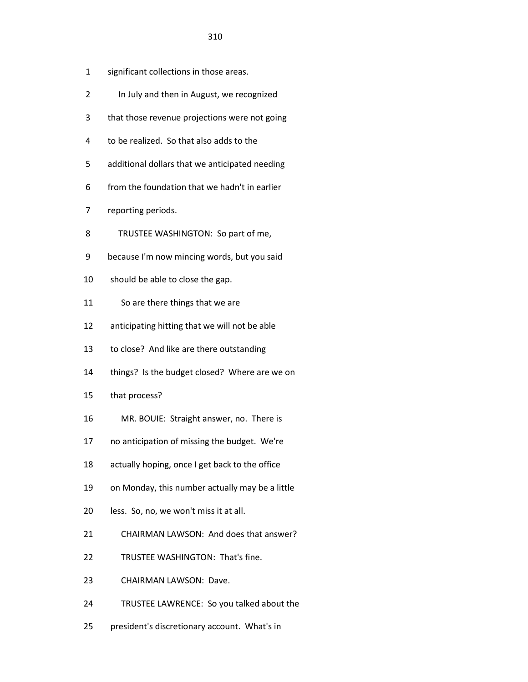- 2 In July and then in August, we recognized
- 3 that those revenue projections were not going
- 4 to be realized. So that also adds to the
- 5 additional dollars that we anticipated needing
- 6 from the foundation that we hadn't in earlier
- 7 reporting periods.
- 8 TRUSTEE WASHINGTON: So part of me,
- 9 because I'm now mincing words, but you said
- 10 should be able to close the gap.
- 11 So are there things that we are
- 12 anticipating hitting that we will not be able
- 13 to close? And like are there outstanding
- 14 things? Is the budget closed? Where are we on
- 15 that process?
- 16 MR. BOUIE: Straight answer, no. There is
- 17 no anticipation of missing the budget. We're
- 18 actually hoping, once I get back to the office
- 19 on Monday, this number actually may be a little
- 20 less. So, no, we won't miss it at all.
- 21 CHAIRMAN LAWSON: And does that answer?
- 22 TRUSTEE WASHINGTON: That's fine.
- 23 CHAIRMAN LAWSON: Dave.
- 24 TRUSTEE LAWRENCE: So you talked about the
- 25 president's discretionary account. What's in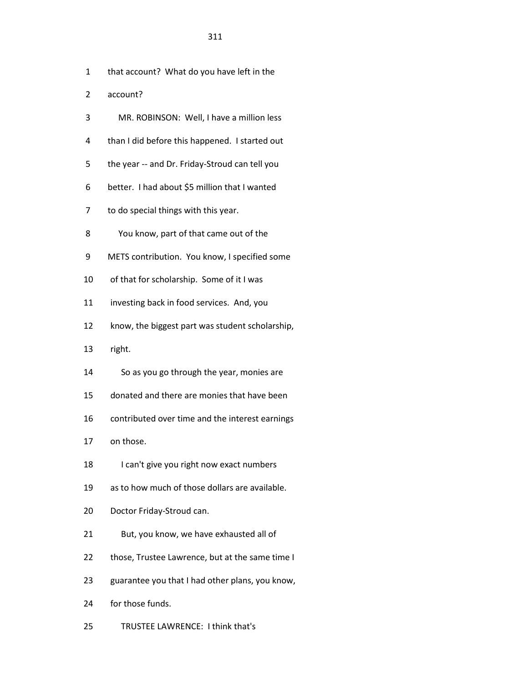- 1 that account? What do you have left in the
- 2 account?
- 3 MR. ROBINSON: Well, I have a million less
- 4 than I did before this happened. I started out
- 5 the year -- and Dr. Friday-Stroud can tell you
- 6 better. I had about \$5 million that I wanted
- 7 to do special things with this year.
- 8 You know, part of that came out of the
- 9 METS contribution. You know, I specified some
- 10 of that for scholarship. Some of it I was
- 11 investing back in food services. And, you
- 12 know, the biggest part was student scholarship,
- 13 right.
- 14 So as you go through the year, monies are
- 15 donated and there are monies that have been
- 16 contributed over time and the interest earnings
- 17 on those.
- 18 I can't give you right now exact numbers
- 19 as to how much of those dollars are available.
- 20 Doctor Friday-Stroud can.
- 21 But, you know, we have exhausted all of
- 22 those, Trustee Lawrence, but at the same time I
- 23 guarantee you that I had other plans, you know,
- 24 for those funds.
- 25 TRUSTEE LAWRENCE: I think that's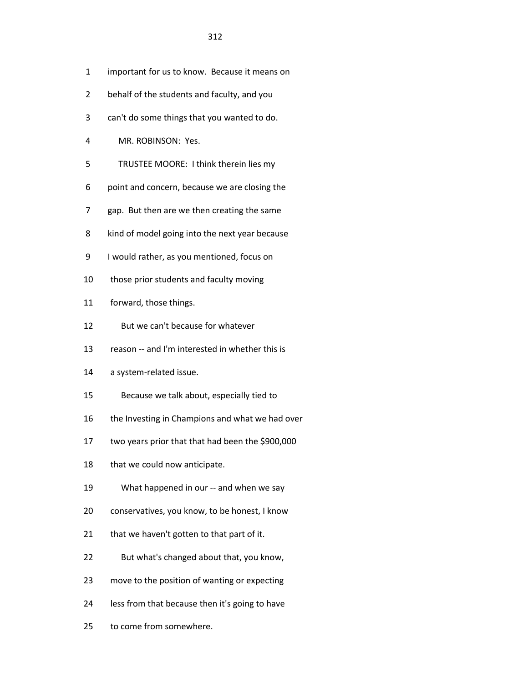- 1 important for us to know. Because it means on
- 2 behalf of the students and faculty, and you
- 3 can't do some things that you wanted to do.
- 4 MR. ROBINSON: Yes.
- 5 TRUSTEE MOORE: I think therein lies my
- 6 point and concern, because we are closing the
- 7 gap. But then are we then creating the same
- 8 kind of model going into the next year because
- 9 I would rather, as you mentioned, focus on
- 10 those prior students and faculty moving
- 11 forward, those things.
- 12 But we can't because for whatever
- 13 reason -- and I'm interested in whether this is
- 14 a system-related issue.
- 15 Because we talk about, especially tied to
- 16 the Investing in Champions and what we had over
- 17 two years prior that that had been the \$900,000
- 18 that we could now anticipate.
- 19 What happened in our -- and when we say
- 20 conservatives, you know, to be honest, I know
- 21 that we haven't gotten to that part of it.
- 22 But what's changed about that, you know,
- 23 move to the position of wanting or expecting
- 24 less from that because then it's going to have
- 25 to come from somewhere.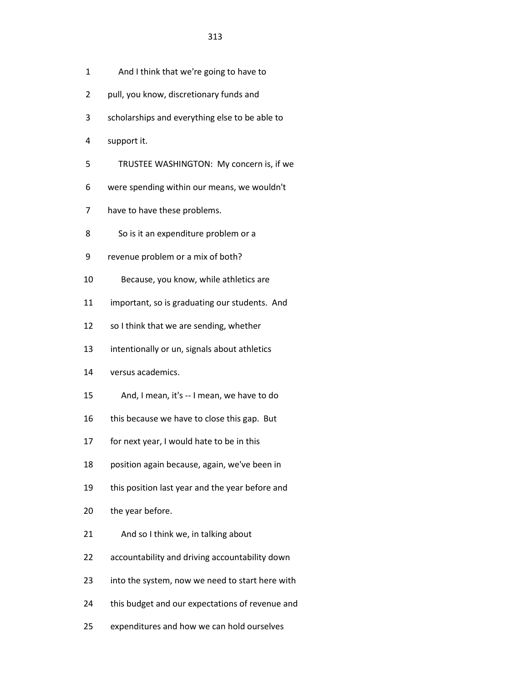- 1 And I think that we're going to have to
- 2 pull, you know, discretionary funds and
- 3 scholarships and everything else to be able to
- 4 support it.
- 5 TRUSTEE WASHINGTON: My concern is, if we
- 6 were spending within our means, we wouldn't
- 7 have to have these problems.
- 8 So is it an expenditure problem or a
- 9 revenue problem or a mix of both?
- 10 Because, you know, while athletics are
- 11 important, so is graduating our students. And
- 12 so I think that we are sending, whether
- 13 intentionally or un, signals about athletics
- 14 versus academics.
- 15 And, I mean, it's -- I mean, we have to do
- 16 this because we have to close this gap. But
- 17 for next year, I would hate to be in this
- 18 position again because, again, we've been in
- 19 this position last year and the year before and
- 20 the year before.
- 21 And so I think we, in talking about
- 22 accountability and driving accountability down
- 23 into the system, now we need to start here with
- 24 this budget and our expectations of revenue and
- 25 expenditures and how we can hold ourselves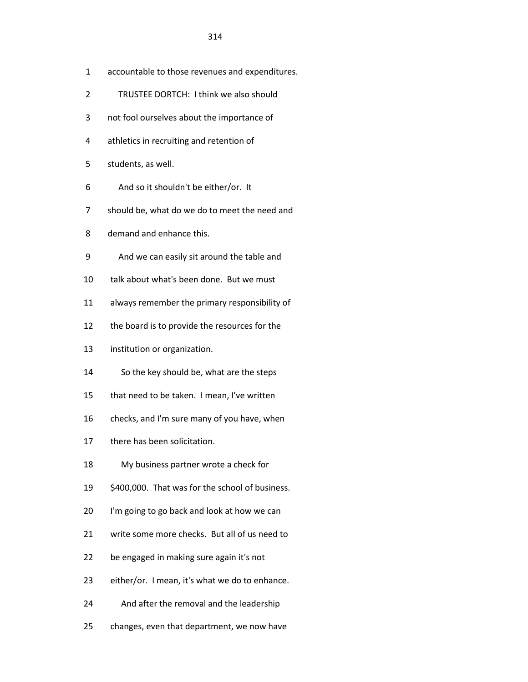- 1 accountable to those revenues and expenditures.
- 2 TRUSTEE DORTCH: I think we also should
- 3 not fool ourselves about the importance of
- 4 athletics in recruiting and retention of
- 5 students, as well.
- 6 And so it shouldn't be either/or. It
- 7 should be, what do we do to meet the need and
- 8 demand and enhance this.
- 9 And we can easily sit around the table and
- 10 talk about what's been done. But we must
- 11 always remember the primary responsibility of
- 12 the board is to provide the resources for the
- 13 institution or organization.
- 14 So the key should be, what are the steps
- 15 that need to be taken. I mean, I've written
- 16 checks, and I'm sure many of you have, when
- 17 there has been solicitation.
- 18 My business partner wrote a check for
- 19 \$400,000. That was for the school of business.
- 20 I'm going to go back and look at how we can
- 21 write some more checks. But all of us need to
- 22 be engaged in making sure again it's not
- 23 either/or. I mean, it's what we do to enhance.
- 24 And after the removal and the leadership
- 25 changes, even that department, we now have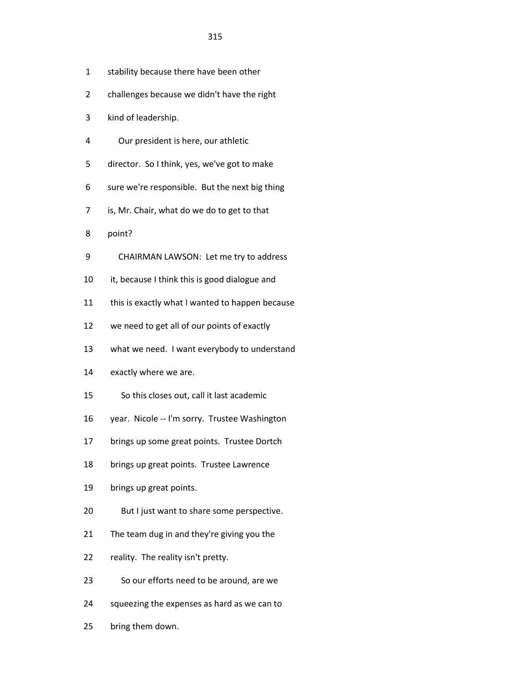- 1 stability because there have been other
- 2 challenges because we didn't have the right
- 3 kind of leadership.
- 4 Our president is here, our athletic
- 5 director. So I think, yes, we've got to make
- 6 sure we're responsible. But the next big thing
- 7 is, Mr. Chair, what do we do to get to that
- 8 point?
- 9 CHAIRMAN LAWSON: Let me try to address
- 10 it, because I think this is good dialogue and
- 11 this is exactly what I wanted to happen because
- 12 we need to get all of our points of exactly
- 13 what we need. I want everybody to understand
- 14 exactly where we are.
- 15 So this closes out, call it last academic
- 16 year. Nicole -- I'm sorry. Trustee Washington
- 17 brings up some great points. Trustee Dortch
- 18 brings up great points. Trustee Lawrence
- 19 brings up great points.
- 20 But I just want to share some perspective.
- 21 The team dug in and they're giving you the
- 22 reality. The reality isn't pretty.
- 23 So our efforts need to be around, are we
- 24 squeezing the expenses as hard as we can to
- 25 bring them down.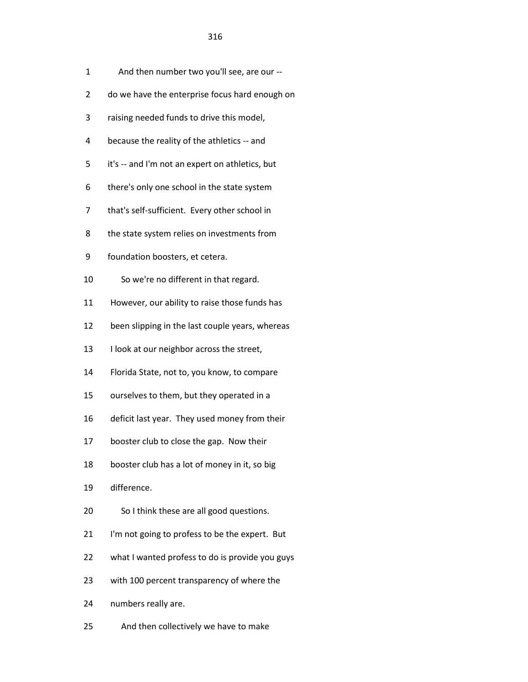- 1 And then number two you'll see, are our --
- 2 do we have the enterprise focus hard enough on
- 3 raising needed funds to drive this model,
- 4 because the reality of the athletics -- and
- 5 it's -- and I'm not an expert on athletics, but
- 6 there's only one school in the state system
- 7 that's self-sufficient. Every other school in
- 8 the state system relies on investments from
- 9 foundation boosters, et cetera.
- 10 So we're no different in that regard.
- 11 However, our ability to raise those funds has
- 12 been slipping in the last couple years, whereas
- 13 I look at our neighbor across the street,
- 14 Florida State, not to, you know, to compare
- 15 ourselves to them, but they operated in a
- 16 deficit last year. They used money from their
- 17 booster club to close the gap. Now their
- 18 booster club has a lot of money in it, so big
- 19 difference.
- 20 So I think these are all good questions.
- 21 I'm not going to profess to be the expert. But
- 22 what I wanted profess to do is provide you guys
- 23 with 100 percent transparency of where the
- 24 numbers really are.
- 25 And then collectively we have to make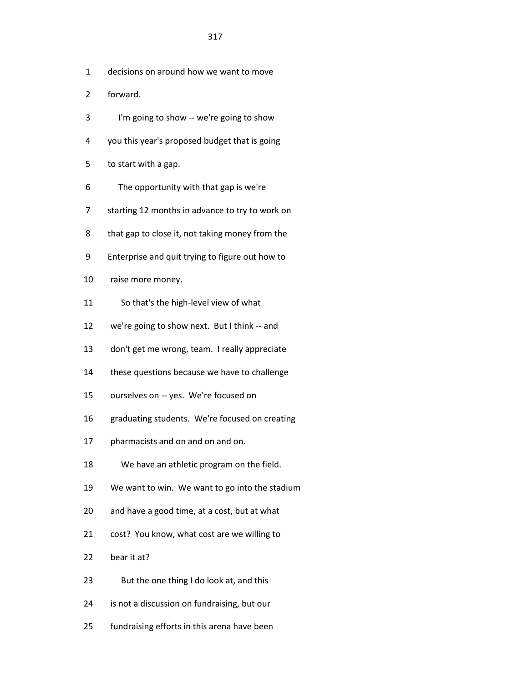- 1 decisions on around how we want to move
- 2 forward.
- 3 I'm going to show -- we're going to show
- 4 you this year's proposed budget that is going
- 5 to start with a gap.
- 6 The opportunity with that gap is we're
- 7 starting 12 months in advance to try to work on
- 8 that gap to close it, not taking money from the
- 9 Enterprise and quit trying to figure out how to
- 10 raise more money.
- 11 So that's the high-level view of what
- 12 we're going to show next. But I think -- and
- 13 don't get me wrong, team. I really appreciate
- 14 these questions because we have to challenge
- 15 ourselves on -- yes. We're focused on
- 16 graduating students. We're focused on creating
- 17 pharmacists and on and on and on.
- 18 We have an athletic program on the field.
- 19 We want to win. We want to go into the stadium
- 20 and have a good time, at a cost, but at what
- 21 cost? You know, what cost are we willing to
- 22 bear it at?
- 23 But the one thing I do look at, and this
- 24 is not a discussion on fundraising, but our
- 25 fundraising efforts in this arena have been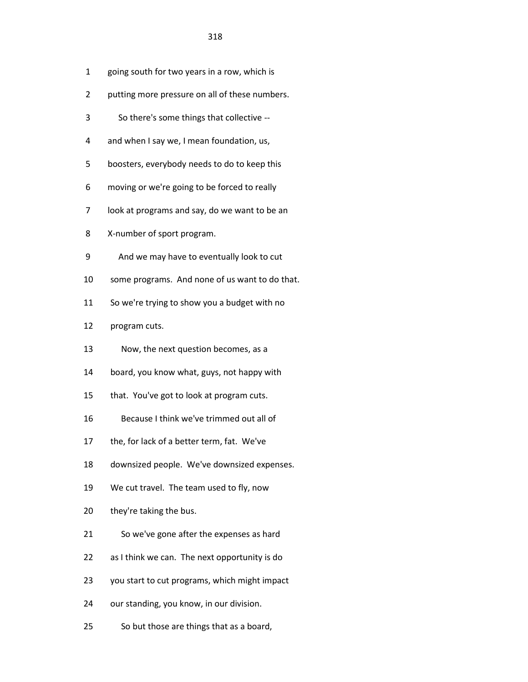- 1 going south for two years in a row, which is
- 2 putting more pressure on all of these numbers.
- 3 So there's some things that collective --
- 4 and when I say we, I mean foundation, us,
- 5 boosters, everybody needs to do to keep this
- 6 moving or we're going to be forced to really
- 7 look at programs and say, do we want to be an
- 8 X-number of sport program.
- 9 And we may have to eventually look to cut
- 10 some programs. And none of us want to do that.
- 11 So we're trying to show you a budget with no
- 12 program cuts.
- 13 Now, the next question becomes, as a
- 14 board, you know what, guys, not happy with
- 15 that. You've got to look at program cuts.
- 16 Because I think we've trimmed out all of
- 17 the, for lack of a better term, fat. We've
- 18 downsized people. We've downsized expenses.
- 19 We cut travel. The team used to fly, now
- 20 they're taking the bus.
- 21 So we've gone after the expenses as hard
- 22 as I think we can. The next opportunity is do
- 23 you start to cut programs, which might impact
- 24 our standing, you know, in our division.
- 25 So but those are things that as a board,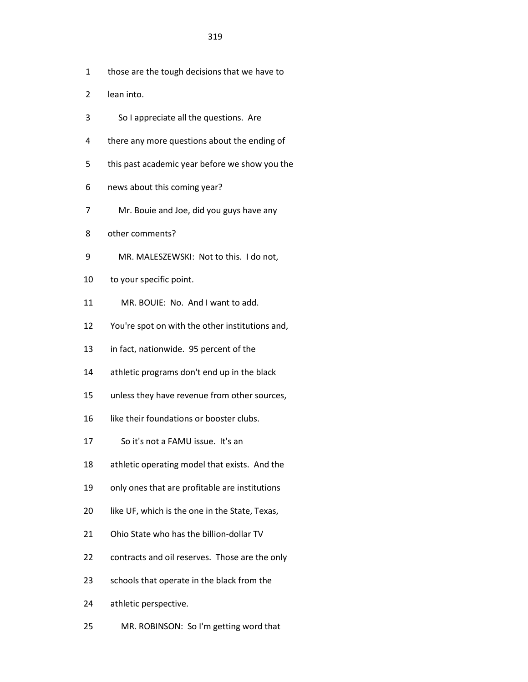- 1 those are the tough decisions that we have to
- 2 lean into.
- 3 So I appreciate all the questions. Are
- 4 there any more questions about the ending of
- 5 this past academic year before we show you the
- 6 news about this coming year?
- 7 Mr. Bouie and Joe, did you guys have any
- 8 other comments?
- 9 MR. MALESZEWSKI: Not to this. I do not,
- 10 to your specific point.
- 11 MR. BOUIE: No. And I want to add.
- 12 You're spot on with the other institutions and,
- 13 in fact, nationwide. 95 percent of the
- 14 athletic programs don't end up in the black
- 15 unless they have revenue from other sources,
- 16 like their foundations or booster clubs.
- 17 So it's not a FAMU issue. It's an
- 18 athletic operating model that exists. And the
- 19 only ones that are profitable are institutions
- 20 like UF, which is the one in the State, Texas,
- 21 Ohio State who has the billion-dollar TV
- 22 contracts and oil reserves. Those are the only
- 23 schools that operate in the black from the
- 24 athletic perspective.
- 25 MR. ROBINSON: So I'm getting word that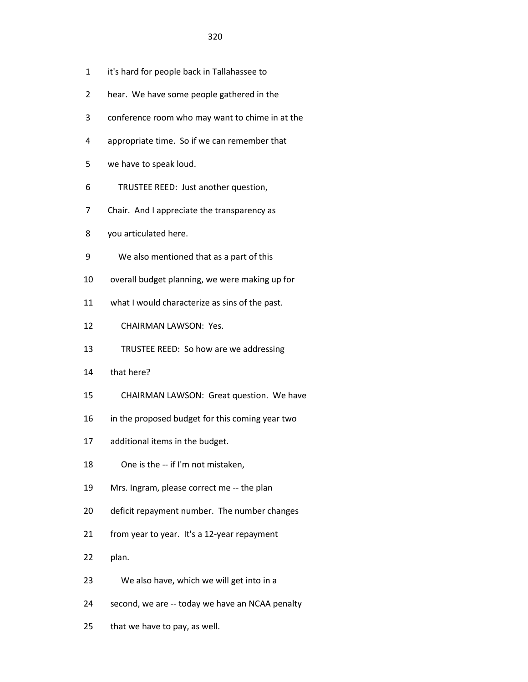- 1 it's hard for people back in Tallahassee to
- 2 hear. We have some people gathered in the
- 3 conference room who may want to chime in at the
- 4 appropriate time. So if we can remember that
- 5 we have to speak loud.
- 6 TRUSTEE REED: Just another question,
- 7 Chair. And I appreciate the transparency as
- 8 you articulated here.
- 9 We also mentioned that as a part of this
- 10 overall budget planning, we were making up for
- 11 what I would characterize as sins of the past.
- 12 CHAIRMAN LAWSON: Yes.
- 13 TRUSTEE REED: So how are we addressing
- 14 that here?
- 15 CHAIRMAN LAWSON: Great question. We have
- 16 in the proposed budget for this coming year two
- 17 additional items in the budget.
- 18 One is the -- if I'm not mistaken,
- 19 Mrs. Ingram, please correct me -- the plan
- 20 deficit repayment number. The number changes
- 21 from year to year. It's a 12-year repayment
- 22 plan.
- 23 We also have, which we will get into in a
- 24 second, we are -- today we have an NCAA penalty
- 25 that we have to pay, as well.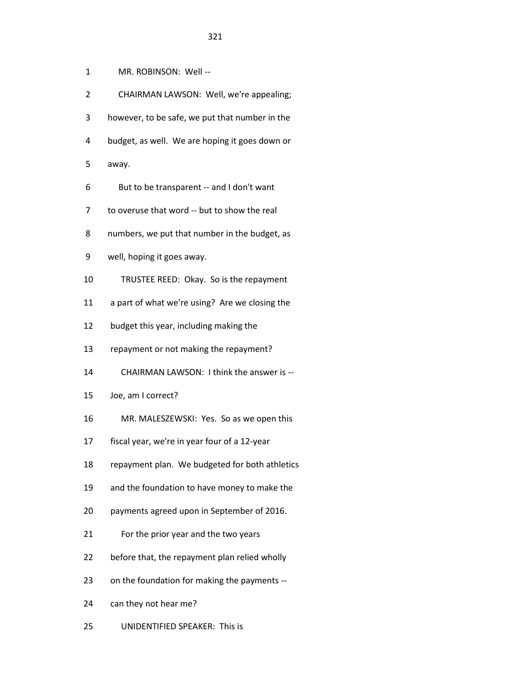| 1  | MR. ROBINSON: Well --                          |
|----|------------------------------------------------|
| 2  | CHAIRMAN LAWSON: Well, we're appealing;        |
| 3  | however, to be safe, we put that number in the |
| 4  | budget, as well. We are hoping it goes down or |
| 5  | away.                                          |
| 6  | But to be transparent -- and I don't want      |
| 7  | to overuse that word -- but to show the real   |
| 8  | numbers, we put that number in the budget, as  |
| 9  | well, hoping it goes away.                     |
| 10 | TRUSTEE REED: Okay. So is the repayment        |
| 11 | a part of what we're using? Are we closing the |
| 12 | budget this year, including making the         |
| 13 | repayment or not making the repayment?         |
| 14 | CHAIRMAN LAWSON: I think the answer is --      |
| 15 | Joe, am I correct?                             |
| 16 | MR. MALESZEWSKI: Yes. So as we open this       |
| 17 | fiscal year, we're in year four of a 12-year   |
| 18 | repayment plan. We budgeted for both athletics |
| 19 | and the foundation to have money to make the   |
| 20 | payments agreed upon in September of 2016.     |
| 21 | For the prior year and the two years           |
| 22 | before that, the repayment plan relied wholly  |
| 23 | on the foundation for making the payments --   |
| 24 | can they not hear me?                          |
|    |                                                |

25 UNIDENTIFIED SPEAKER: This is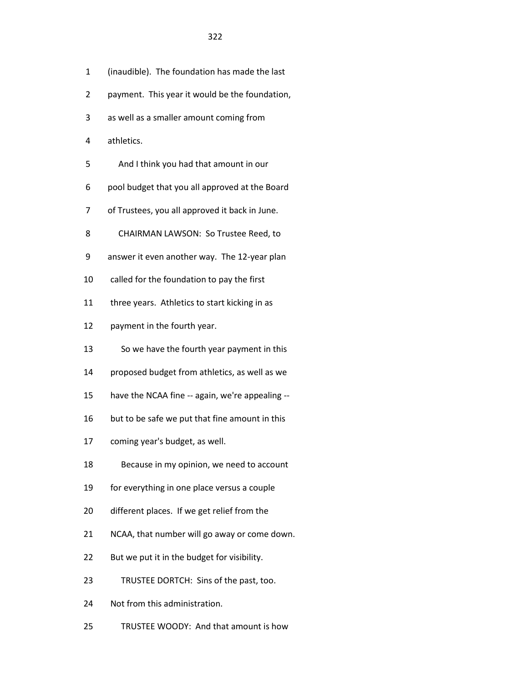- 1 (inaudible). The foundation has made the last
- 2 payment. This year it would be the foundation,
- 3 as well as a smaller amount coming from
- 4 athletics.
- 5 And I think you had that amount in our
- 6 pool budget that you all approved at the Board
- 7 of Trustees, you all approved it back in June.
- 8 CHAIRMAN LAWSON: So Trustee Reed, to
- 9 answer it even another way. The 12-year plan
- 10 called for the foundation to pay the first
- 11 three years. Athletics to start kicking in as
- 12 payment in the fourth year.
- 13 So we have the fourth year payment in this
- 14 proposed budget from athletics, as well as we
- 15 have the NCAA fine -- again, we're appealing --
- 16 but to be safe we put that fine amount in this
- 17 coming year's budget, as well.
- 18 Because in my opinion, we need to account
- 19 for everything in one place versus a couple
- 20 different places. If we get relief from the
- 21 NCAA, that number will go away or come down.
- 22 But we put it in the budget for visibility.
- 23 TRUSTEE DORTCH: Sins of the past, too.
- 24 Not from this administration.
- 25 TRUSTEE WOODY: And that amount is how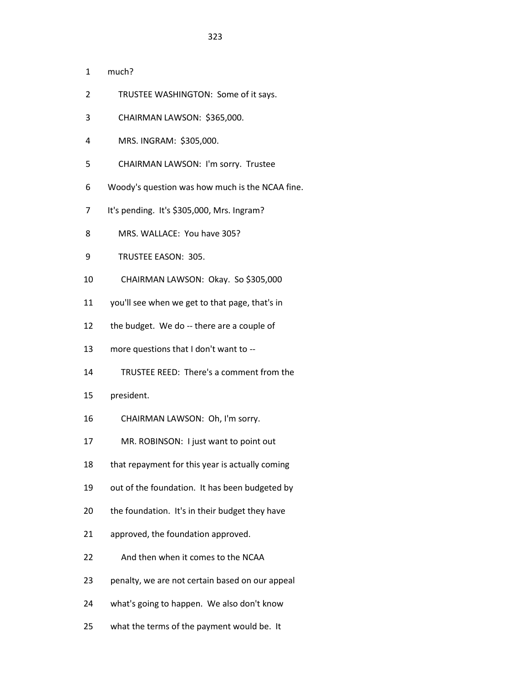- 2 TRUSTEE WASHINGTON: Some of it says.
- 3 CHAIRMAN LAWSON: \$365,000.
- 4 MRS. INGRAM: \$305,000.
- 5 CHAIRMAN LAWSON: I'm sorry. Trustee
- 6 Woody's question was how much is the NCAA fine.
- 7 It's pending. It's \$305,000, Mrs. Ingram?
- 8 MRS. WALLACE: You have 305?
- 9 TRUSTEE EASON: 305.
- 10 CHAIRMAN LAWSON: Okay. So \$305,000
- 11 you'll see when we get to that page, that's in
- 12 the budget. We do -- there are a couple of
- 13 more questions that I don't want to --
- 14 TRUSTEE REED: There's a comment from the
- 15 president.
- 16 CHAIRMAN LAWSON: Oh, I'm sorry.
- 17 MR. ROBINSON: I just want to point out
- 18 that repayment for this year is actually coming
- 19 out of the foundation. It has been budgeted by
- 20 the foundation. It's in their budget they have
- 21 approved, the foundation approved.
- 22 And then when it comes to the NCAA
- 23 penalty, we are not certain based on our appeal
- 24 what's going to happen. We also don't know
- 25 what the terms of the payment would be. It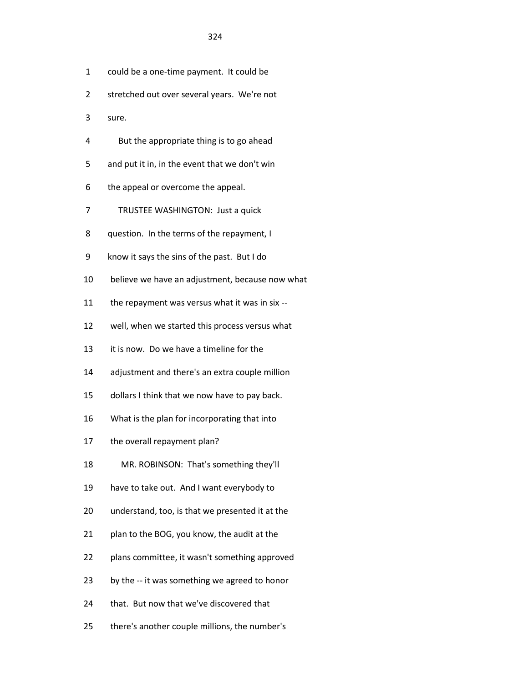- 1 could be a one-time payment. It could be
- 2 stretched out over several years. We're not
- 3 sure.
- 4 But the appropriate thing is to go ahead
- 5 and put it in, in the event that we don't win
- 6 the appeal or overcome the appeal.
- 7 TRUSTEE WASHINGTON: Just a quick
- 8 question. In the terms of the repayment, I
- 9 know it says the sins of the past. But I do
- 10 believe we have an adjustment, because now what
- 11 the repayment was versus what it was in six --
- 12 well, when we started this process versus what
- 13 it is now. Do we have a timeline for the
- 14 adjustment and there's an extra couple million
- 15 dollars I think that we now have to pay back.
- 16 What is the plan for incorporating that into
- 17 the overall repayment plan?
- 18 MR. ROBINSON: That's something they'll
- 19 have to take out. And I want everybody to
- 20 understand, too, is that we presented it at the
- 21 plan to the BOG, you know, the audit at the
- 22 plans committee, it wasn't something approved
- 23 by the -- it was something we agreed to honor
- 24 that. But now that we've discovered that
- 25 there's another couple millions, the number's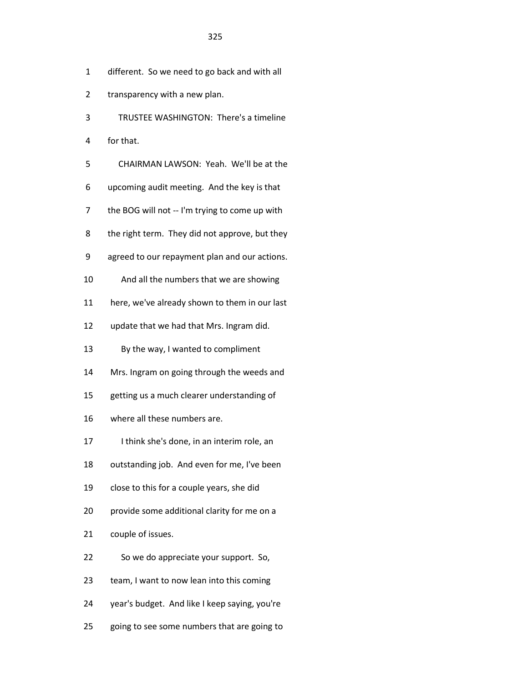- 1 different. So we need to go back and with all
- 2 transparency with a new plan.
- 3 TRUSTEE WASHINGTON: There's a timeline
- 4 for that.
- 5 CHAIRMAN LAWSON: Yeah. We'll be at the
- 6 upcoming audit meeting. And the key is that
- 7 the BOG will not -- I'm trying to come up with
- 8 the right term. They did not approve, but they
- 9 agreed to our repayment plan and our actions.
- 10 And all the numbers that we are showing
- 11 here, we've already shown to them in our last
- 12 update that we had that Mrs. Ingram did.
- 13 By the way, I wanted to compliment
- 14 Mrs. Ingram on going through the weeds and
- 15 getting us a much clearer understanding of
- 16 where all these numbers are.
- 17 I think she's done, in an interim role, an
- 18 outstanding job. And even for me, I've been
- 19 close to this for a couple years, she did
- 20 provide some additional clarity for me on a
- 21 couple of issues.
- 22 So we do appreciate your support. So,
- 23 team, I want to now lean into this coming
- 24 year's budget. And like I keep saying, you're
- 25 going to see some numbers that are going to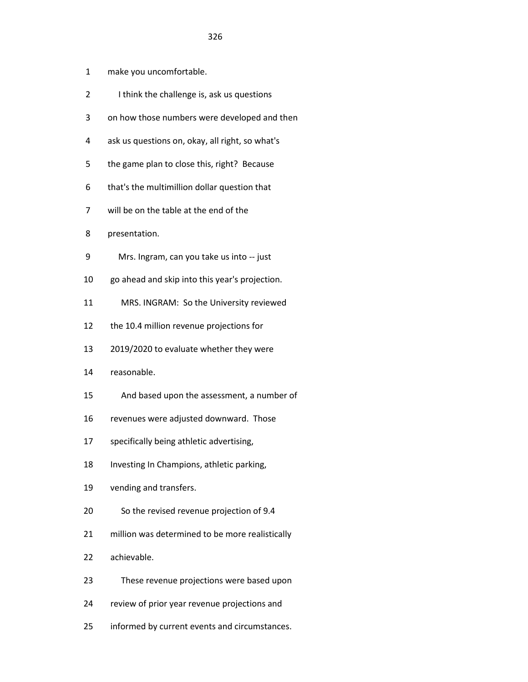- 1 make you uncomfortable.
- 2 I think the challenge is, ask us questions
- 3 on how those numbers were developed and then
- 4 ask us questions on, okay, all right, so what's
- 5 the game plan to close this, right? Because
- 6 that's the multimillion dollar question that
- 7 will be on the table at the end of the
- 8 presentation.
- 9 Mrs. Ingram, can you take us into -- just
- 10 go ahead and skip into this year's projection.
- 11 MRS. INGRAM: So the University reviewed
- 12 the 10.4 million revenue projections for
- 13 2019/2020 to evaluate whether they were
- 14 reasonable.
- 15 And based upon the assessment, a number of
- 16 revenues were adjusted downward. Those
- 17 specifically being athletic advertising,
- 18 Investing In Champions, athletic parking,
- 19 vending and transfers.
- 20 So the revised revenue projection of 9.4
- 21 million was determined to be more realistically
- 22 achievable.
- 23 These revenue projections were based upon
- 24 review of prior year revenue projections and
- 25 informed by current events and circumstances.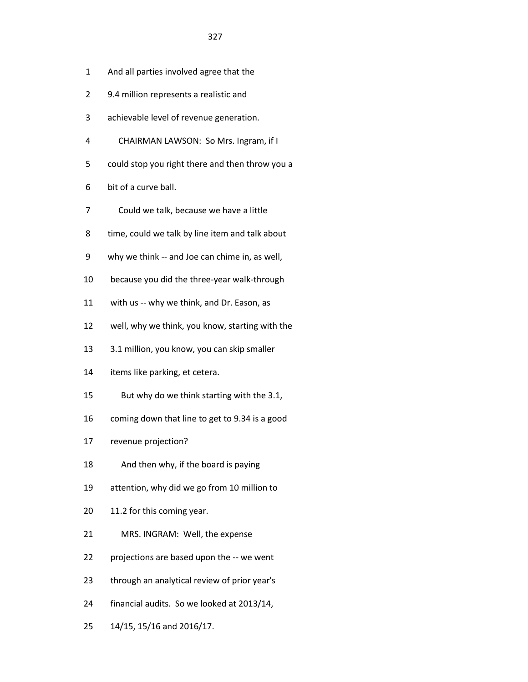- 1 And all parties involved agree that the
- 2 9.4 million represents a realistic and
- 3 achievable level of revenue generation.
- 4 CHAIRMAN LAWSON: So Mrs. Ingram, if I
- 5 could stop you right there and then throw you a
- 6 bit of a curve ball.
- 7 Could we talk, because we have a little
- 8 time, could we talk by line item and talk about
- 9 why we think -- and Joe can chime in, as well,
- 10 because you did the three-year walk-through
- 11 with us -- why we think, and Dr. Eason, as
- 12 well, why we think, you know, starting with the
- 13 3.1 million, you know, you can skip smaller
- 14 items like parking, et cetera.
- 15 But why do we think starting with the 3.1,
- 16 coming down that line to get to 9.34 is a good
- 17 revenue projection?
- 18 And then why, if the board is paying
- 19 attention, why did we go from 10 million to
- 20 11.2 for this coming year.
- 21 MRS. INGRAM: Well, the expense
- 22 projections are based upon the -- we went
- 23 through an analytical review of prior year's
- 24 financial audits. So we looked at 2013/14,
- 25 14/15, 15/16 and 2016/17.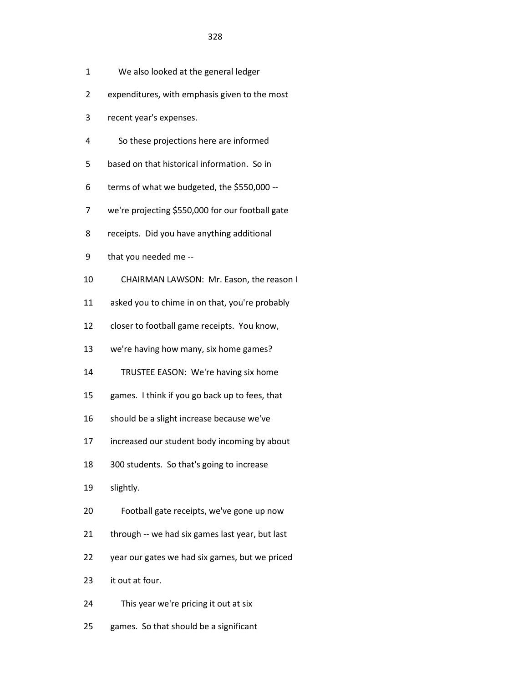- 1 We also looked at the general ledger
- 2 expenditures, with emphasis given to the most
- 3 recent year's expenses.
- 4 So these projections here are informed
- 5 based on that historical information. So in
- 6 terms of what we budgeted, the \$550,000 --
- 7 we're projecting \$550,000 for our football gate
- 8 receipts. Did you have anything additional
- 9 that you needed me --
- 10 CHAIRMAN LAWSON: Mr. Eason, the reason I
- 11 asked you to chime in on that, you're probably
- 12 closer to football game receipts. You know,
- 13 we're having how many, six home games?
- 14 TRUSTEE EASON: We're having six home
- 15 games. I think if you go back up to fees, that
- 16 should be a slight increase because we've
- 17 increased our student body incoming by about
- 18 300 students. So that's going to increase
- 19 slightly.
- 20 Football gate receipts, we've gone up now
- 21 through -- we had six games last year, but last
- 22 year our gates we had six games, but we priced
- 23 it out at four.
- 24 This year we're pricing it out at six
- 25 games. So that should be a significant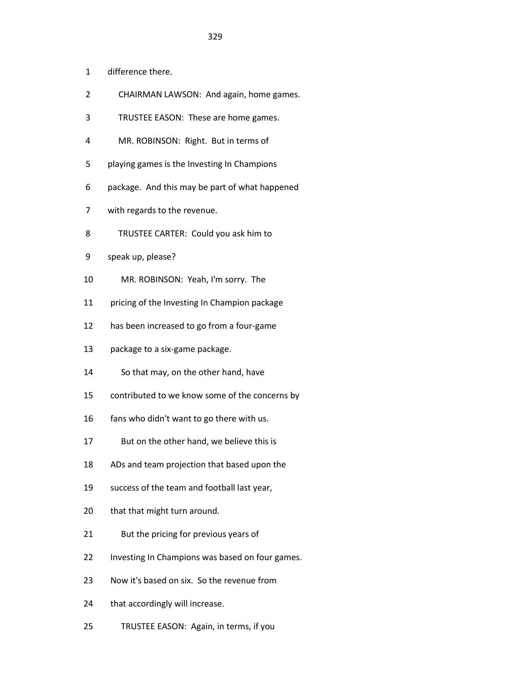- 1 difference there.
- 2 CHAIRMAN LAWSON: And again, home games.
- 3 TRUSTEE EASON: These are home games.
- 4 MR. ROBINSON: Right. But in terms of
- 5 playing games is the Investing In Champions
- 6 package. And this may be part of what happened
- 7 with regards to the revenue.
- 8 TRUSTEE CARTER: Could you ask him to
- 9 speak up, please?
- 10 MR. ROBINSON: Yeah, I'm sorry. The
- 11 pricing of the Investing In Champion package
- 12 has been increased to go from a four-game
- 13 package to a six-game package.
- 14 So that may, on the other hand, have
- 15 contributed to we know some of the concerns by
- 16 fans who didn't want to go there with us.
- 17 But on the other hand, we believe this is
- 18 ADs and team projection that based upon the
- 19 success of the team and football last year,
- 20 that that might turn around.
- 21 But the pricing for previous years of
- 22 Investing In Champions was based on four games.
- 23 Now it's based on six. So the revenue from
- 24 that accordingly will increase.
- 25 TRUSTEE EASON: Again, in terms, if you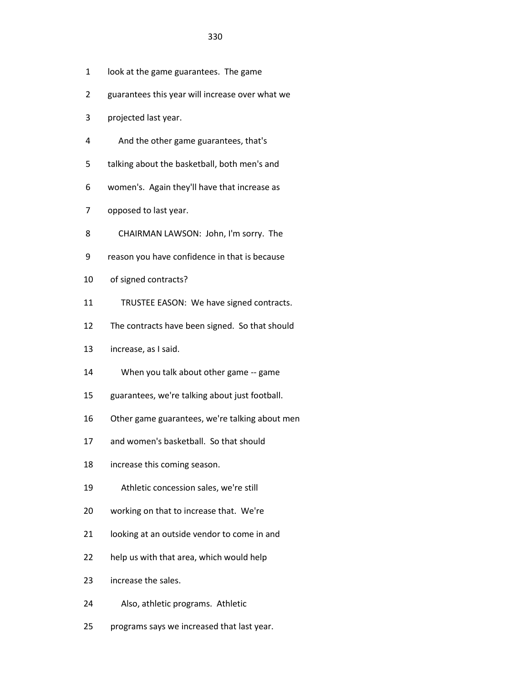- 1 look at the game guarantees. The game
- 2 guarantees this year will increase over what we
- 3 projected last year.
- 4 And the other game guarantees, that's
- 5 talking about the basketball, both men's and
- 6 women's. Again they'll have that increase as
- 7 opposed to last year.
- 8 CHAIRMAN LAWSON: John, I'm sorry. The
- 9 reason you have confidence in that is because
- 10 of signed contracts?
- 11 TRUSTEE EASON: We have signed contracts.
- 12 The contracts have been signed. So that should
- 13 increase, as I said.
- 14 When you talk about other game -- game
- 15 guarantees, we're talking about just football.
- 16 Other game guarantees, we're talking about men
- 17 and women's basketball. So that should
- 18 increase this coming season.
- 19 Athletic concession sales, we're still
- 20 working on that to increase that. We're
- 21 looking at an outside vendor to come in and
- 22 help us with that area, which would help
- 23 increase the sales.
- 24 Also, athletic programs. Athletic
- 25 programs says we increased that last year.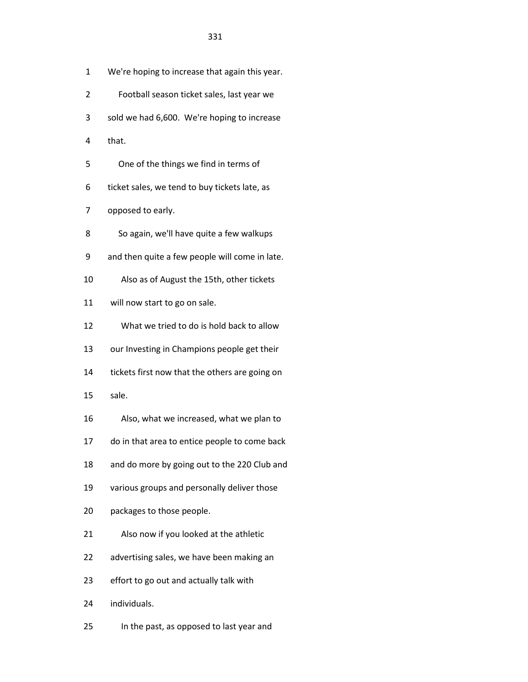- 1 We're hoping to increase that again this year.
- 2 Football season ticket sales, last year we
- 3 sold we had 6,600. We're hoping to increase
- 4 that.
- 5 One of the things we find in terms of
- 6 ticket sales, we tend to buy tickets late, as
- 7 opposed to early.
- 8 So again, we'll have quite a few walkups
- 9 and then quite a few people will come in late.
- 10 Also as of August the 15th, other tickets
- 11 will now start to go on sale.
- 12 What we tried to do is hold back to allow
- 13 our Investing in Champions people get their
- 14 tickets first now that the others are going on
- 15 sale.
- 16 Also, what we increased, what we plan to
- 17 do in that area to entice people to come back
- 18 and do more by going out to the 220 Club and
- 19 various groups and personally deliver those
- 20 packages to those people.
- 21 Also now if you looked at the athletic
- 22 advertising sales, we have been making an
- 23 effort to go out and actually talk with
- 24 individuals.
- 25 In the past, as opposed to last year and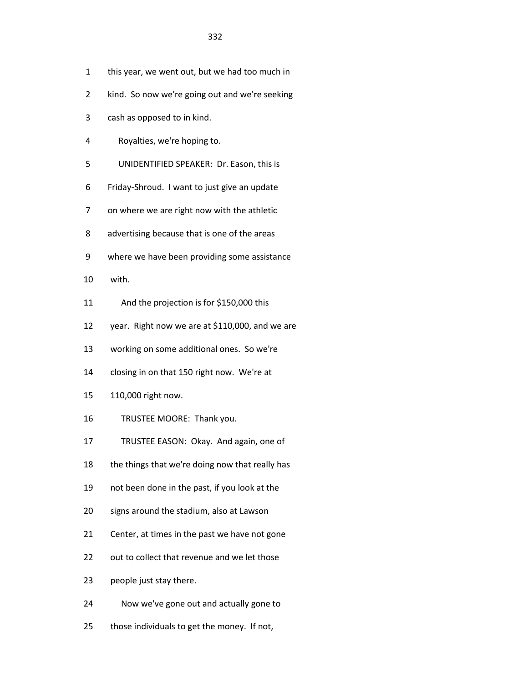- 1 this year, we went out, but we had too much in
- 2 kind. So now we're going out and we're seeking
- 3 cash as opposed to in kind.
- 4 Royalties, we're hoping to.
- 5 UNIDENTIFIED SPEAKER: Dr. Eason, this is
- 6 Friday-Shroud. I want to just give an update
- 7 on where we are right now with the athletic
- 8 advertising because that is one of the areas
- 9 where we have been providing some assistance
- 10 with.
- 11 And the projection is for \$150,000 this
- 12 year. Right now we are at \$110,000, and we are
- 13 working on some additional ones. So we're
- 14 closing in on that 150 right now. We're at
- 15 110,000 right now.
- 16 TRUSTEE MOORE: Thank you.
- 17 TRUSTEE EASON: Okay. And again, one of
- 18 the things that we're doing now that really has
- 19 not been done in the past, if you look at the
- 20 signs around the stadium, also at Lawson
- 21 Center, at times in the past we have not gone
- 22 out to collect that revenue and we let those
- 23 people just stay there.
- 24 Now we've gone out and actually gone to
- 25 those individuals to get the money. If not,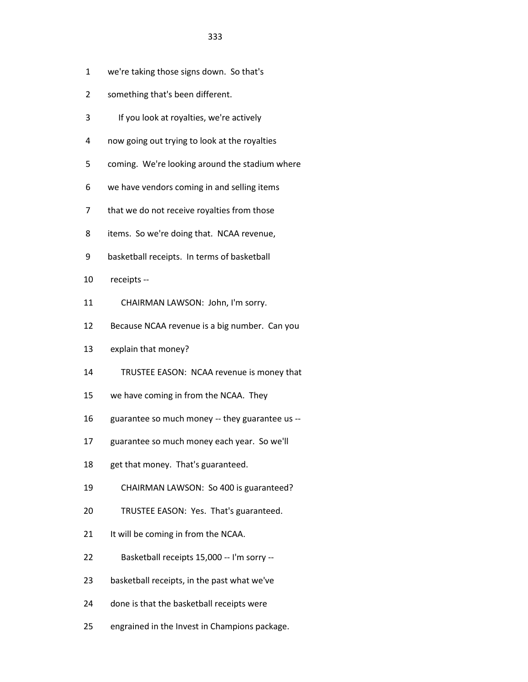- 1 we're taking those signs down. So that's
- 2 something that's been different.
- 3 If you look at royalties, we're actively
- 4 now going out trying to look at the royalties
- 5 coming. We're looking around the stadium where
- 6 we have vendors coming in and selling items
- 7 that we do not receive royalties from those
- 8 items. So we're doing that. NCAA revenue,
- 9 basketball receipts. In terms of basketball
- 10 receipts --
- 11 CHAIRMAN LAWSON: John, I'm sorry.
- 12 Because NCAA revenue is a big number. Can you
- 13 explain that money?
- 14 TRUSTEE EASON: NCAA revenue is money that
- 15 we have coming in from the NCAA. They
- 16 guarantee so much money -- they guarantee us --
- 17 guarantee so much money each year. So we'll
- 18 get that money. That's guaranteed.
- 19 CHAIRMAN LAWSON: So 400 is guaranteed?
- 20 TRUSTEE EASON: Yes. That's guaranteed.
- 21 It will be coming in from the NCAA.
- 22 Basketball receipts 15,000 -- I'm sorry --
- 23 basketball receipts, in the past what we've
- 24 done is that the basketball receipts were
- 25 engrained in the Invest in Champions package.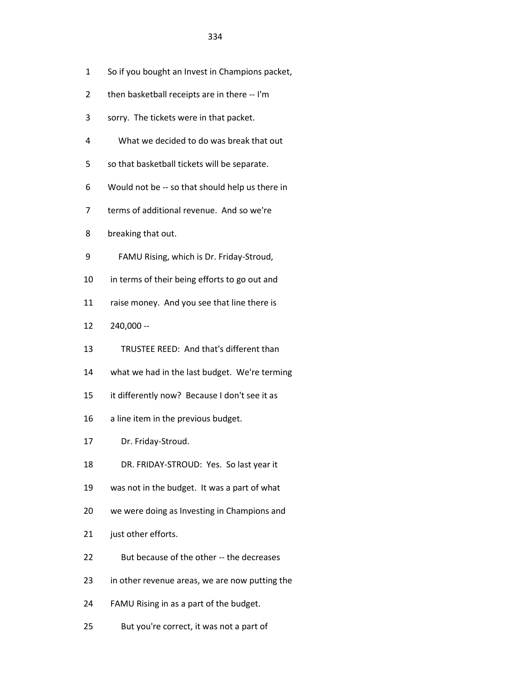- 1 So if you bought an Invest in Champions packet,
- 2 then basketball receipts are in there -- I'm
- 3 sorry. The tickets were in that packet.
- 4 What we decided to do was break that out
- 5 so that basketball tickets will be separate.
- 6 Would not be -- so that should help us there in
- 7 terms of additional revenue. And so we're
- 8 breaking that out.
- 9 FAMU Rising, which is Dr. Friday-Stroud,
- 10 in terms of their being efforts to go out and
- 11 raise money. And you see that line there is
- 12 240,000 --
- 13 TRUSTEE REED: And that's different than
- 14 what we had in the last budget. We're terming
- 15 it differently now? Because I don't see it as
- 16 a line item in the previous budget.
- 17 Dr. Friday-Stroud.
- 18 DR. FRIDAY-STROUD: Yes. So last year it
- 19 was not in the budget. It was a part of what
- 20 we were doing as Investing in Champions and
- 21 just other efforts.
- 22 But because of the other -- the decreases
- 23 in other revenue areas, we are now putting the
- 24 FAMU Rising in as a part of the budget.
- 25 But you're correct, it was not a part of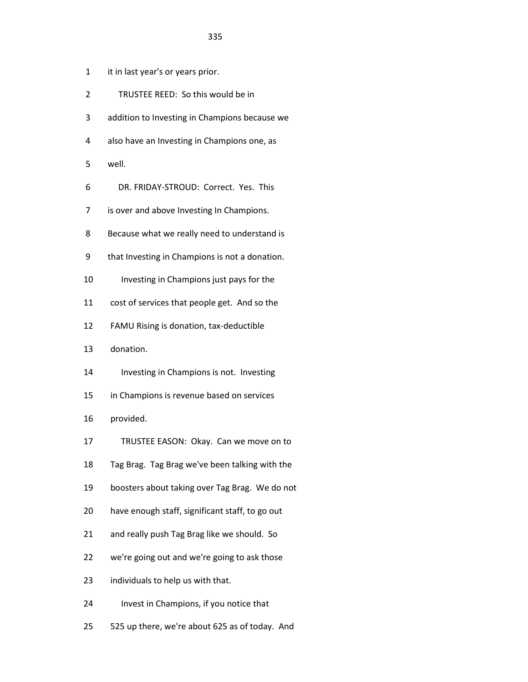- 1 it in last year's or years prior.
- 2 TRUSTEE REED: So this would be in
- 3 addition to Investing in Champions because we
- 4 also have an Investing in Champions one, as
- 5 well.
- 6 DR. FRIDAY-STROUD: Correct. Yes. This
- 7 is over and above Investing In Champions.
- 8 Because what we really need to understand is
- 9 that Investing in Champions is not a donation.
- 10 Investing in Champions just pays for the
- 11 cost of services that people get. And so the
- 12 FAMU Rising is donation, tax-deductible
- 13 donation.
- 14 Investing in Champions is not. Investing
- 15 in Champions is revenue based on services
- 16 provided.
- 17 TRUSTEE EASON: Okay. Can we move on to
- 18 Tag Brag. Tag Brag we've been talking with the
- 19 boosters about taking over Tag Brag. We do not
- 20 have enough staff, significant staff, to go out
- 21 and really push Tag Brag like we should. So
- 22 we're going out and we're going to ask those
- 23 individuals to help us with that.
- 24 Invest in Champions, if you notice that
- 25 525 up there, we're about 625 as of today. And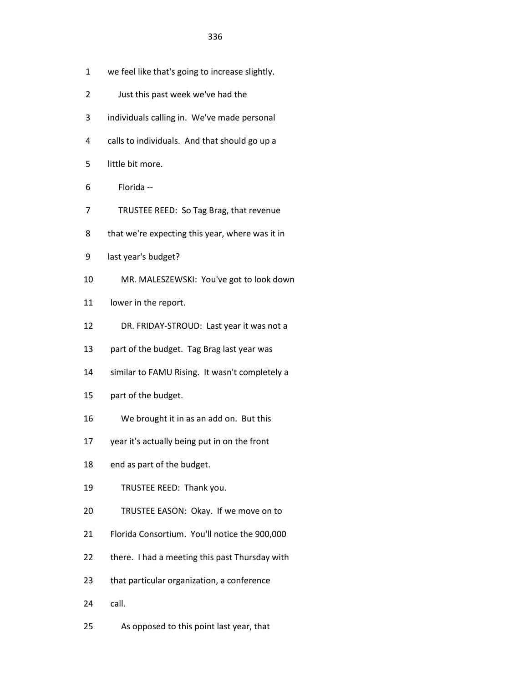- 1 we feel like that's going to increase slightly.
- 2 Just this past week we've had the
- 3 individuals calling in. We've made personal
- 4 calls to individuals. And that should go up a
- 5 little bit more.
- 6 Florida --
- 7 TRUSTEE REED: So Tag Brag, that revenue
- 8 that we're expecting this year, where was it in
- 9 last year's budget?
- 10 MR. MALESZEWSKI: You've got to look down
- 11 lower in the report.
- 12 DR. FRIDAY-STROUD: Last year it was not a
- 13 part of the budget. Tag Brag last year was
- 14 similar to FAMU Rising. It wasn't completely a
- 15 part of the budget.
- 16 We brought it in as an add on. But this
- 17 year it's actually being put in on the front
- 18 end as part of the budget.
- 19 TRUSTEE REED: Thank you.
- 20 TRUSTEE EASON: Okay. If we move on to
- 21 Florida Consortium. You'll notice the 900,000
- 22 there. I had a meeting this past Thursday with
- 23 that particular organization, a conference
- 24 call.
- 25 As opposed to this point last year, that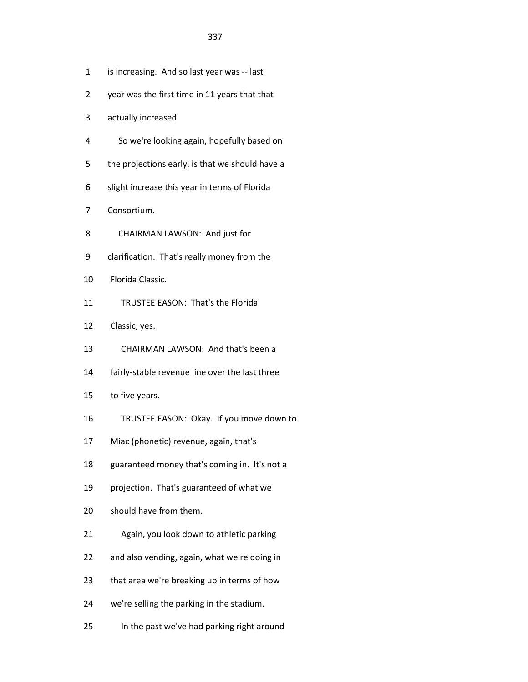- 1 is increasing. And so last year was -- last
- 2 year was the first time in 11 years that that
- 3 actually increased.
- 4 So we're looking again, hopefully based on
- 5 the projections early, is that we should have a
- 6 slight increase this year in terms of Florida
- 7 Consortium.
- 8 CHAIRMAN LAWSON: And just for
- 9 clarification. That's really money from the
- 10 Florida Classic.
- 11 TRUSTEE EASON: That's the Florida
- 12 Classic, yes.
- 13 CHAIRMAN LAWSON: And that's been a
- 14 fairly-stable revenue line over the last three
- 15 to five years.
- 16 TRUSTEE EASON: Okay. If you move down to
- 17 Miac (phonetic) revenue, again, that's
- 18 guaranteed money that's coming in. It's not a
- 19 projection. That's guaranteed of what we
- 20 should have from them.
- 21 Again, you look down to athletic parking
- 22 and also vending, again, what we're doing in
- 23 that area we're breaking up in terms of how
- 24 we're selling the parking in the stadium.
- 25 In the past we've had parking right around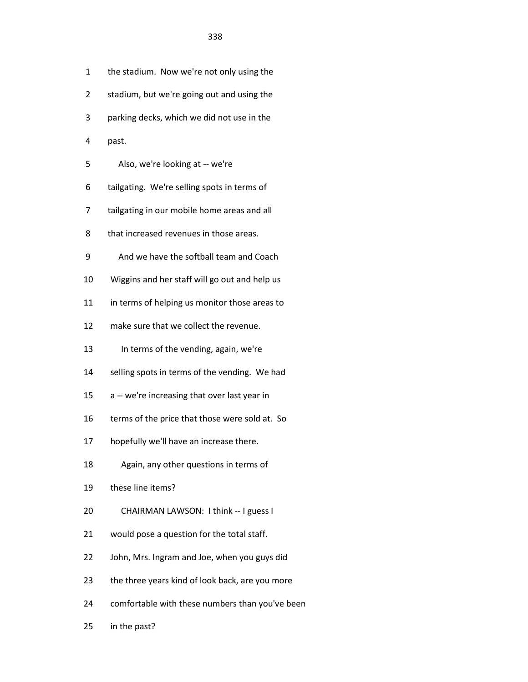| 1  | the stadium. Now we're not only using the       |
|----|-------------------------------------------------|
| 2  | stadium, but we're going out and using the      |
| 3  | parking decks, which we did not use in the      |
| 4  | past.                                           |
| 5  | Also, we're looking at -- we're                 |
| 6  | tailgating. We're selling spots in terms of     |
| 7  | tailgating in our mobile home areas and all     |
| 8  | that increased revenues in those areas.         |
| 9  | And we have the softball team and Coach         |
| 10 | Wiggins and her staff will go out and help us   |
| 11 | in terms of helping us monitor those areas to   |
| 12 | make sure that we collect the revenue.          |
| 13 | In terms of the vending, again, we're           |
| 14 | selling spots in terms of the vending. We had   |
| 15 | a -- we're increasing that over last year in    |
| 16 | terms of the price that those were sold at. So  |
| 17 | hopefully we'll have an increase there.         |
| 18 | Again, any other questions in terms of          |
| 19 | these line items?                               |
| 20 | CHAIRMAN LAWSON: I think -- I guess I           |
| 21 | would pose a question for the total staff.      |
| 22 | John, Mrs. Ingram and Joe, when you guys did    |
| 23 | the three years kind of look back, are you more |
| 24 | comfortable with these numbers than you've been |

25 in the past?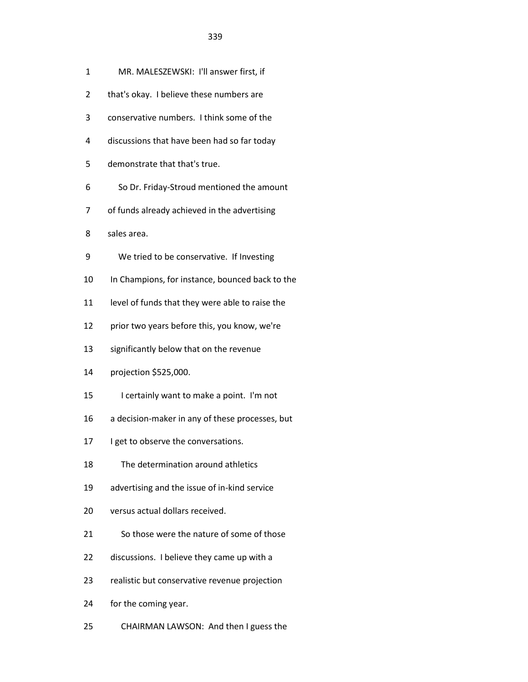- 2 that's okay. I believe these numbers are
- 3 conservative numbers. I think some of the
- 4 discussions that have been had so far today
- 5 demonstrate that that's true.
- 6 So Dr. Friday-Stroud mentioned the amount
- 7 of funds already achieved in the advertising
- 8 sales area.
- 9 We tried to be conservative. If Investing
- 10 In Champions, for instance, bounced back to the
- 11 level of funds that they were able to raise the
- 12 prior two years before this, you know, we're
- 13 significantly below that on the revenue
- 14 projection \$525,000.
- 15 I certainly want to make a point. I'm not
- 16 a decision-maker in any of these processes, but
- 17 I get to observe the conversations.
- 18 The determination around athletics
- 19 advertising and the issue of in-kind service
- 20 versus actual dollars received.
- 21 So those were the nature of some of those
- 22 discussions. I believe they came up with a
- 23 realistic but conservative revenue projection
- 24 for the coming year.
- 25 CHAIRMAN LAWSON: And then I guess the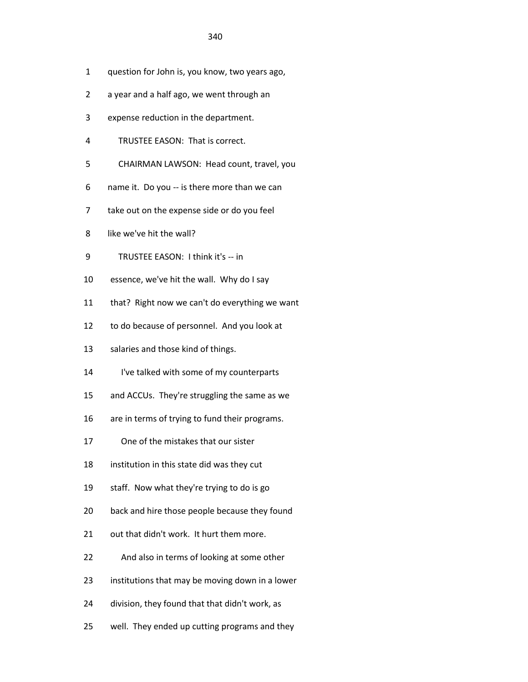- 1 question for John is, you know, two years ago,
- 2 a year and a half ago, we went through an
- 3 expense reduction in the department.
- 4 TRUSTEE EASON: That is correct.
- 5 CHAIRMAN LAWSON: Head count, travel, you
- 6 name it. Do you -- is there more than we can
- 7 take out on the expense side or do you feel
- 8 like we've hit the wall?
- 9 TRUSTEE EASON: I think it's -- in
- 10 essence, we've hit the wall. Why do I say
- 11 that? Right now we can't do everything we want
- 12 to do because of personnel. And you look at
- 13 salaries and those kind of things.
- 14 I've talked with some of my counterparts
- 15 and ACCUs. They're struggling the same as we
- 16 are in terms of trying to fund their programs.
- 17 One of the mistakes that our sister
- 18 institution in this state did was they cut
- 19 staff. Now what they're trying to do is go
- 20 back and hire those people because they found
- 21 out that didn't work. It hurt them more.
- 22 And also in terms of looking at some other
- 23 institutions that may be moving down in a lower
- 24 division, they found that that didn't work, as
- 25 well. They ended up cutting programs and they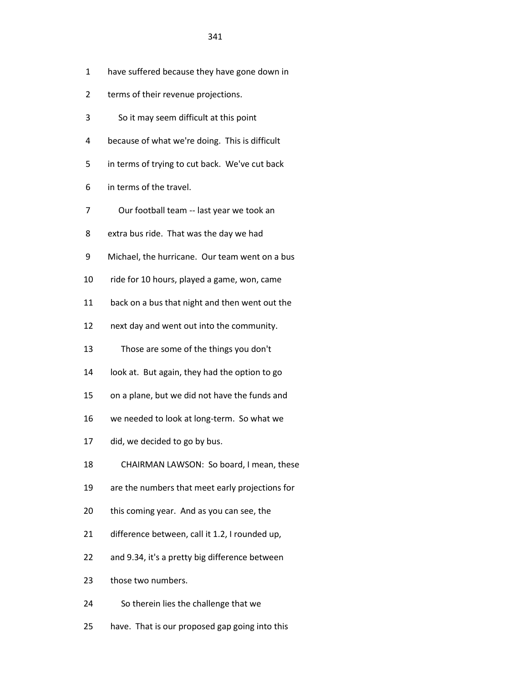- 1 have suffered because they have gone down in
- 2 terms of their revenue projections.
- 3 So it may seem difficult at this point
- 4 because of what we're doing. This is difficult
- 5 in terms of trying to cut back. We've cut back
- 6 in terms of the travel.
- 7 Our football team -- last year we took an
- 8 extra bus ride. That was the day we had
- 9 Michael, the hurricane. Our team went on a bus
- 10 ride for 10 hours, played a game, won, came
- 11 back on a bus that night and then went out the
- 12 next day and went out into the community.
- 13 Those are some of the things you don't
- 14 look at. But again, they had the option to go
- 15 on a plane, but we did not have the funds and
- 16 we needed to look at long-term. So what we
- 17 did, we decided to go by bus.
- 18 CHAIRMAN LAWSON: So board, I mean, these
- 19 are the numbers that meet early projections for
- 20 this coming year. And as you can see, the
- 21 difference between, call it 1.2, I rounded up,
- 22 and 9.34, it's a pretty big difference between
- 23 those two numbers.
- 24 So therein lies the challenge that we
- 25 have. That is our proposed gap going into this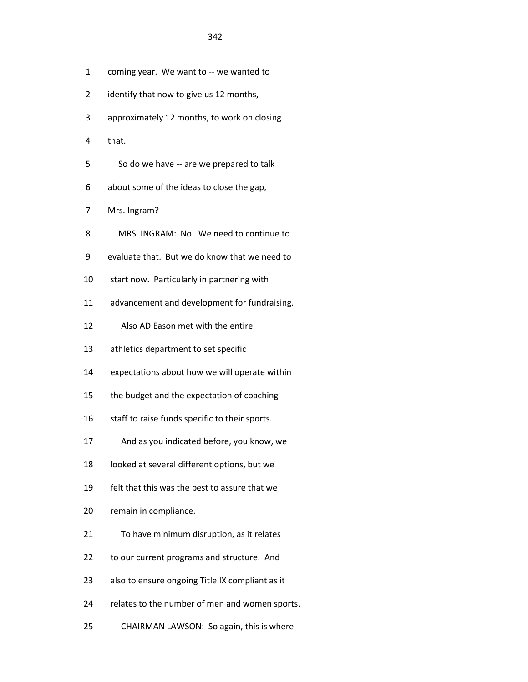- 1 coming year. We want to -- we wanted to
- 2 identify that now to give us 12 months,
- 3 approximately 12 months, to work on closing
- 4 that.
- 5 So do we have -- are we prepared to talk
- 6 about some of the ideas to close the gap,
- 7 Mrs. Ingram?
- 8 MRS. INGRAM: No. We need to continue to
- 9 evaluate that. But we do know that we need to
- 10 start now. Particularly in partnering with
- 11 advancement and development for fundraising.
- 12 Also AD Eason met with the entire
- 13 athletics department to set specific
- 14 expectations about how we will operate within
- 15 the budget and the expectation of coaching
- 16 staff to raise funds specific to their sports.
- 17 And as you indicated before, you know, we
- 18 looked at several different options, but we
- 19 felt that this was the best to assure that we
- 20 remain in compliance.
- 21 To have minimum disruption, as it relates
- 22 to our current programs and structure. And
- 23 also to ensure ongoing Title IX compliant as it
- 24 relates to the number of men and women sports.
- 25 CHAIRMAN LAWSON: So again, this is where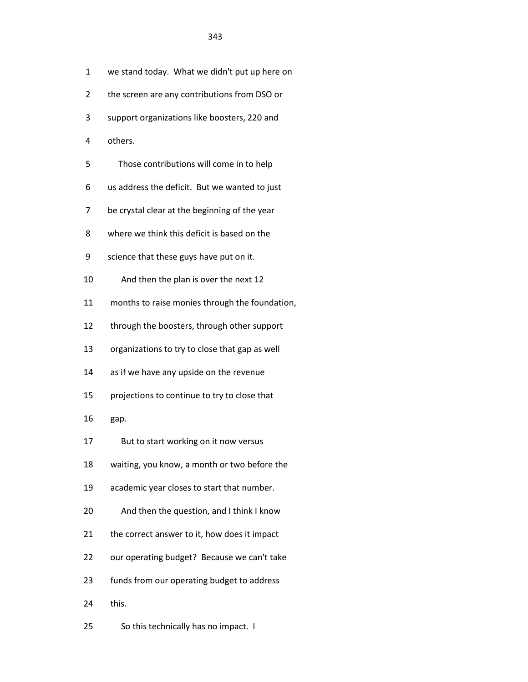| 1  | we stand today. What we didn't put up here on  |
|----|------------------------------------------------|
| 2  | the screen are any contributions from DSO or   |
| 3  | support organizations like boosters, 220 and   |
| 4  | others.                                        |
| 5  | Those contributions will come in to help       |
| 6  | us address the deficit. But we wanted to just  |
| 7  | be crystal clear at the beginning of the year  |
| 8  | where we think this deficit is based on the    |
| 9  | science that these guys have put on it.        |
| 10 | And then the plan is over the next 12          |
| 11 | months to raise monies through the foundation, |
| 12 | through the boosters, through other support    |
| 13 | organizations to try to close that gap as well |
| 14 | as if we have any upside on the revenue        |
| 15 | projections to continue to try to close that   |
| 16 | gap.                                           |
| 17 | But to start working on it now versus          |
| 18 | waiting, you know, a month or two before the   |
| 19 | academic year closes to start that number.     |
| 20 | And then the question, and I think I know      |
| 21 | the correct answer to it, how does it impact   |
| 22 | our operating budget? Because we can't take    |
| 23 | funds from our operating budget to address     |
| 24 | this.                                          |
| 25 | So this technically has no impact. I           |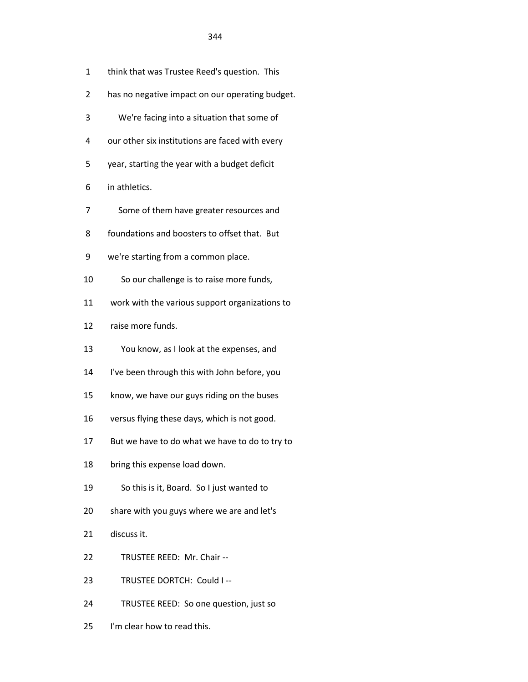- 1 think that was Trustee Reed's question. This
- 2 has no negative impact on our operating budget.
- 3 We're facing into a situation that some of
- 4 our other six institutions are faced with every
- 5 year, starting the year with a budget deficit
- 6 in athletics.
- 7 Some of them have greater resources and
- 8 foundations and boosters to offset that. But
- 9 we're starting from a common place.
- 10 So our challenge is to raise more funds,
- 11 work with the various support organizations to
- 12 raise more funds.
- 13 You know, as I look at the expenses, and
- 14 I've been through this with John before, you
- 15 know, we have our guys riding on the buses
- 16 versus flying these days, which is not good.
- 17 But we have to do what we have to do to try to
- 18 bring this expense load down.
- 19 So this is it, Board. So I just wanted to
- 20 share with you guys where we are and let's
- 21 discuss it.
- 22 TRUSTEE REED: Mr. Chair --
- 23 TRUSTEE DORTCH: Could I --
- 24 TRUSTEE REED: So one question, just so
- 25 I'm clear how to read this.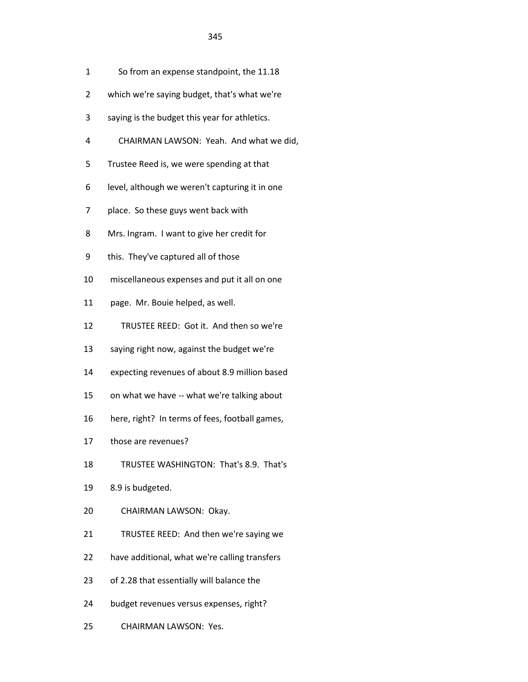- 1 So from an expense standpoint, the 11.18
- 2 which we're saying budget, that's what we're
- 3 saying is the budget this year for athletics.
- 4 CHAIRMAN LAWSON: Yeah. And what we did,
- 5 Trustee Reed is, we were spending at that
- 6 level, although we weren't capturing it in one
- 7 place. So these guys went back with
- 8 Mrs. Ingram. I want to give her credit for
- 9 this. They've captured all of those
- 10 miscellaneous expenses and put it all on one
- 11 page. Mr. Bouie helped, as well.
- 12 TRUSTEE REED: Got it. And then so we're
- 13 saying right now, against the budget we're
- 14 expecting revenues of about 8.9 million based
- 15 on what we have -- what we're talking about
- 16 here, right? In terms of fees, football games,
- 17 those are revenues?
- 18 TRUSTEE WASHINGTON: That's 8.9. That's
- 19 8.9 is budgeted.
- 20 CHAIRMAN LAWSON: Okay.
- 21 TRUSTEE REED: And then we're saying we
- 22 have additional, what we're calling transfers
- 23 of 2.28 that essentially will balance the
- 24 budget revenues versus expenses, right?
- 25 CHAIRMAN LAWSON: Yes.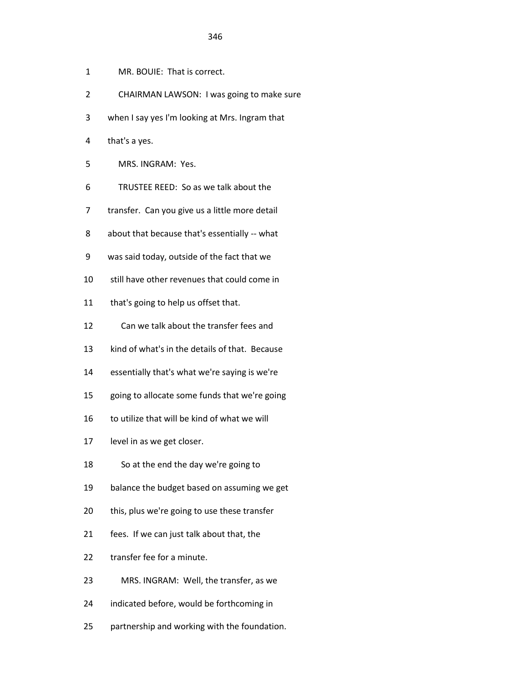- 1 MR. BOUIE: That is correct.
- 2 CHAIRMAN LAWSON: I was going to make sure
- 3 when I say yes I'm looking at Mrs. Ingram that
- 4 that's a yes.
- 5 MRS. INGRAM: Yes.
- 6 TRUSTEE REED: So as we talk about the
- 7 transfer. Can you give us a little more detail
- 8 about that because that's essentially -- what
- 9 was said today, outside of the fact that we
- 10 still have other revenues that could come in
- 11 that's going to help us offset that.
- 12 Can we talk about the transfer fees and
- 13 kind of what's in the details of that. Because
- 14 essentially that's what we're saying is we're
- 15 going to allocate some funds that we're going
- 16 to utilize that will be kind of what we will
- 17 level in as we get closer.
- 18 So at the end the day we're going to
- 19 balance the budget based on assuming we get
- 20 this, plus we're going to use these transfer
- 21 fees. If we can just talk about that, the
- 22 transfer fee for a minute.
- 23 MRS. INGRAM: Well, the transfer, as we
- 24 indicated before, would be forthcoming in
- 25 partnership and working with the foundation.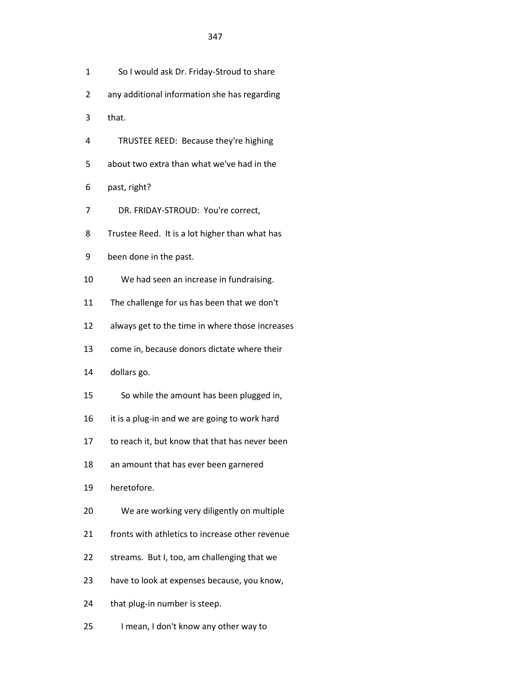- 1 So I would ask Dr. Friday-Stroud to share
- 2 any additional information she has regarding
- 3 that.
- 4 TRUSTEE REED: Because they're highing
- 5 about two extra than what we've had in the
- 6 past, right?
- 7 DR. FRIDAY-STROUD: You're correct,
- 8 Trustee Reed. It is a lot higher than what has
- 9 been done in the past.
- 10 We had seen an increase in fundraising.
- 11 The challenge for us has been that we don't
- 12 always get to the time in where those increases
- 13 come in, because donors dictate where their
- 14 dollars go.
- 15 So while the amount has been plugged in,
- 16 it is a plug-in and we are going to work hard
- 17 to reach it, but know that that has never been
- 18 an amount that has ever been garnered
- 19 heretofore.
- 20 We are working very diligently on multiple
- 21 fronts with athletics to increase other revenue
- 22 streams. But I, too, am challenging that we
- 23 have to look at expenses because, you know,
- 24 that plug-in number is steep.
- 25 I mean, I don't know any other way to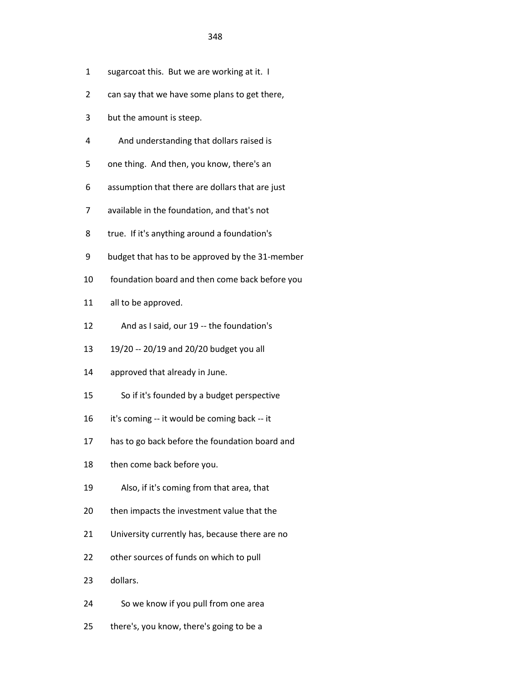- 1 sugarcoat this. But we are working at it. I
- 2 can say that we have some plans to get there,
- 3 but the amount is steep.
- 4 And understanding that dollars raised is
- 5 one thing. And then, you know, there's an
- 6 assumption that there are dollars that are just
- 7 available in the foundation, and that's not
- 8 true. If it's anything around a foundation's
- 9 budget that has to be approved by the 31-member
- 10 foundation board and then come back before you
- 11 all to be approved.
- 12 And as I said, our 19 -- the foundation's
- 13 19/20 -- 20/19 and 20/20 budget you all
- 14 approved that already in June.
- 15 So if it's founded by a budget perspective
- 16 it's coming -- it would be coming back -- it
- 17 has to go back before the foundation board and
- 18 then come back before you.
- 19 Also, if it's coming from that area, that
- 20 then impacts the investment value that the
- 21 University currently has, because there are no
- 22 other sources of funds on which to pull
- 23 dollars.
- 24 So we know if you pull from one area
- 25 there's, you know, there's going to be a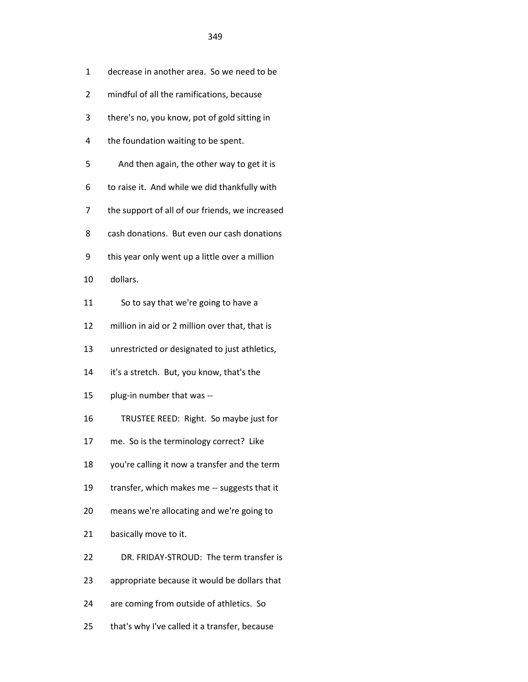| 1  | decrease in another area. So we need to be      |
|----|-------------------------------------------------|
| 2  | mindful of all the ramifications, because       |
| 3  | there's no, you know, pot of gold sitting in    |
| 4  | the foundation waiting to be spent.             |
| 5  | And then again, the other way to get it is      |
| 6  | to raise it. And while we did thankfully with   |
| 7  | the support of all of our friends, we increased |
| 8  | cash donations. But even our cash donations     |
| 9  | this year only went up a little over a million  |
| 10 | dollars.                                        |
| 11 | So to say that we're going to have a            |
| 12 | million in aid or 2 million over that, that is  |
| 13 | unrestricted or designated to just athletics,   |
| 14 | it's a stretch. But, you know, that's the       |
| 15 | plug-in number that was --                      |
| 16 | TRUSTEE REED: Right. So maybe just for          |
| 17 | me. So is the terminology correct? Like         |
| 18 | you're calling it now a transfer and the term   |
| 19 | transfer, which makes me -- suggests that it    |
| 20 | means we're allocating and we're going to       |
| 21 | basically move to it.                           |
| 22 | DR. FRIDAY-STROUD: The term transfer is         |
| 23 | appropriate because it would be dollars that    |
| 24 | are coming from outside of athletics. So        |
| 25 | that's why I've called it a transfer, because   |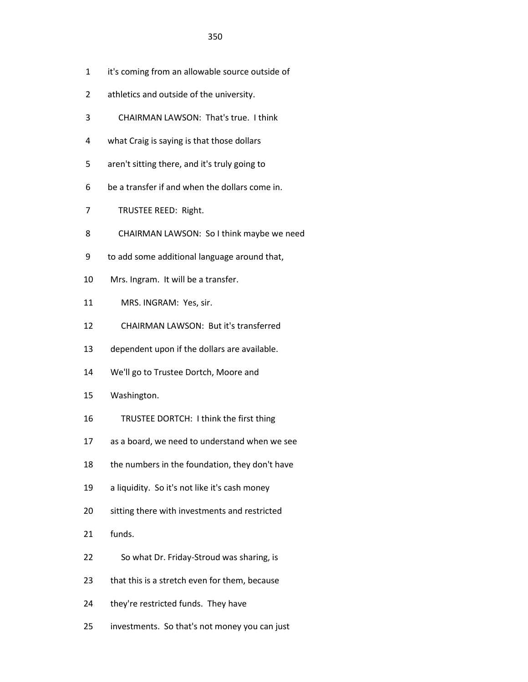- 1 it's coming from an allowable source outside of
- 2 athletics and outside of the university.
- 3 CHAIRMAN LAWSON: That's true. I think
- 4 what Craig is saying is that those dollars
- 5 aren't sitting there, and it's truly going to
- 6 be a transfer if and when the dollars come in.
- 7 TRUSTEE REED: Right.
- 8 CHAIRMAN LAWSON: So I think maybe we need
- 9 to add some additional language around that,
- 10 Mrs. Ingram. It will be a transfer.
- 11 MRS. INGRAM: Yes, sir.
- 12 CHAIRMAN LAWSON: But it's transferred
- 13 dependent upon if the dollars are available.
- 14 We'll go to Trustee Dortch, Moore and
- 15 Washington.
- 16 TRUSTEE DORTCH: I think the first thing
- 17 as a board, we need to understand when we see
- 18 the numbers in the foundation, they don't have
- 19 a liquidity. So it's not like it's cash money
- 20 sitting there with investments and restricted
- 21 funds.
- 22 So what Dr. Friday-Stroud was sharing, is
- 23 that this is a stretch even for them, because
- 24 they're restricted funds. They have
- 25 investments. So that's not money you can just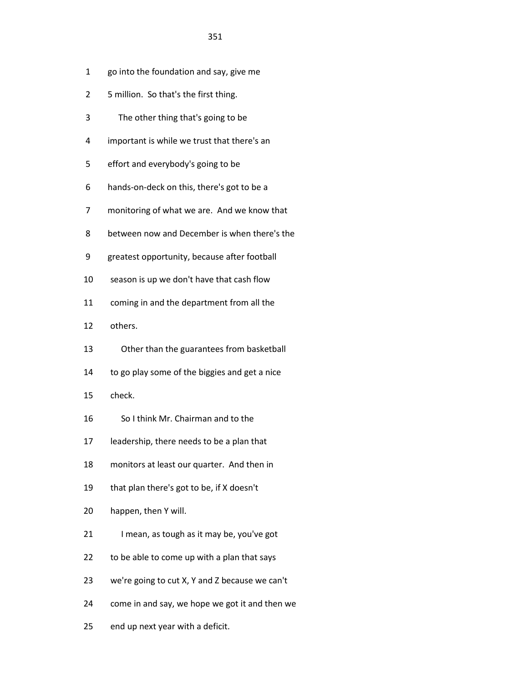- 1 go into the foundation and say, give me
- 2 5 million. So that's the first thing.
- 3 The other thing that's going to be
- 4 important is while we trust that there's an
- 5 effort and everybody's going to be
- 6 hands-on-deck on this, there's got to be a
- 7 monitoring of what we are. And we know that
- 8 between now and December is when there's the
- 9 greatest opportunity, because after football
- 10 season is up we don't have that cash flow
- 11 coming in and the department from all the
- 12 others.
- 13 Other than the guarantees from basketball
- 14 to go play some of the biggies and get a nice
- 15 check.
- 16 So I think Mr. Chairman and to the
- 17 leadership, there needs to be a plan that
- 18 monitors at least our quarter. And then in
- 19 that plan there's got to be, if X doesn't
- 20 happen, then Y will.
- 21 I mean, as tough as it may be, you've got
- 22 to be able to come up with a plan that says
- 23 we're going to cut X, Y and Z because we can't
- 24 come in and say, we hope we got it and then we
- 25 end up next year with a deficit.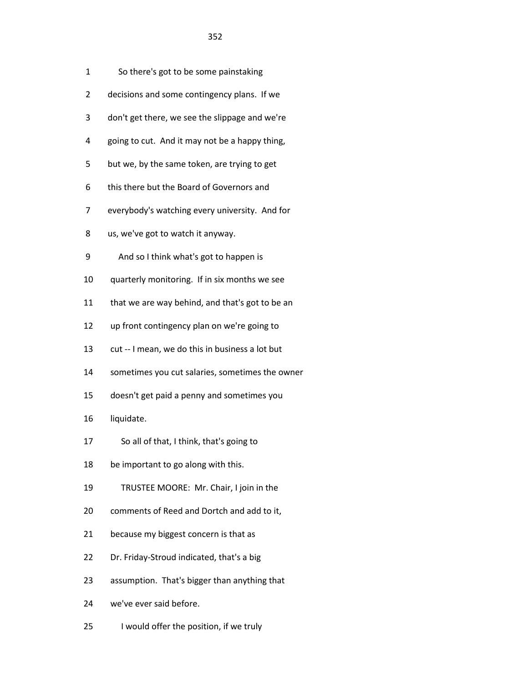| 1              | So there's got to be some painstaking           |
|----------------|-------------------------------------------------|
| $\overline{2}$ | decisions and some contingency plans. If we     |
| 3              | don't get there, we see the slippage and we're  |
| 4              | going to cut. And it may not be a happy thing,  |
| 5              | but we, by the same token, are trying to get    |
| 6              | this there but the Board of Governors and       |
| $\overline{7}$ | everybody's watching every university. And for  |
| 8              | us, we've got to watch it anyway.               |
| 9              | And so I think what's got to happen is          |
| 10             | quarterly monitoring. If in six months we see   |
| 11             | that we are way behind, and that's got to be an |
| 12             | up front contingency plan on we're going to     |
| 13             | cut -- I mean, we do this in business a lot but |
| 14             | sometimes you cut salaries, sometimes the owner |
| 15             | doesn't get paid a penny and sometimes you      |
| 16             | liquidate.                                      |
|                |                                                 |

- 17 So all of that, I think, that's going to
- 18 be important to go along with this.
- 19 TRUSTEE MOORE: Mr. Chair, I join in the
- 20 comments of Reed and Dortch and add to it,
- 21 because my biggest concern is that as
- 22 Dr. Friday-Stroud indicated, that's a big
- 23 assumption. That's bigger than anything that
- 24 we've ever said before.
- 25 I would offer the position, if we truly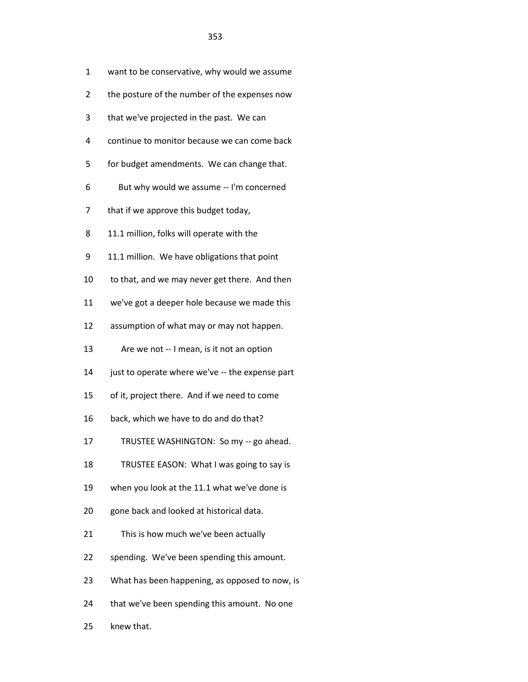| 1  | want to be conservative, why would we assume    |
|----|-------------------------------------------------|
| 2  | the posture of the number of the expenses now   |
| 3  | that we've projected in the past. We can        |
| 4  | continue to monitor because we can come back    |
| 5  | for budget amendments. We can change that.      |
| 6  | But why would we assume -- I'm concerned        |
| 7  | that if we approve this budget today,           |
| 8  | 11.1 million, folks will operate with the       |
| 9  | 11.1 million. We have obligations that point    |
| 10 | to that, and we may never get there. And then   |
| 11 | we've got a deeper hole because we made this    |
| 12 | assumption of what may or may not happen.       |
| 13 | Are we not -- I mean, is it not an option       |
| 14 | just to operate where we've -- the expense part |
| 15 | of it, project there. And if we need to come    |
| 16 | back, which we have to do and do that?          |
| 17 | TRUSTEE WASHINGTON: So my -- go ahead.          |
| 18 | TRUSTEE EASON: What I was going to say is       |
| 19 | when you look at the 11.1 what we've done is    |
| 20 | gone back and looked at historical data.        |
| 21 | This is how much we've been actually            |
| 22 | spending. We've been spending this amount.      |
| 23 | What has been happening, as opposed to now, is  |
| 24 | that we've been spending this amount. No one    |
|    |                                                 |

25 knew that.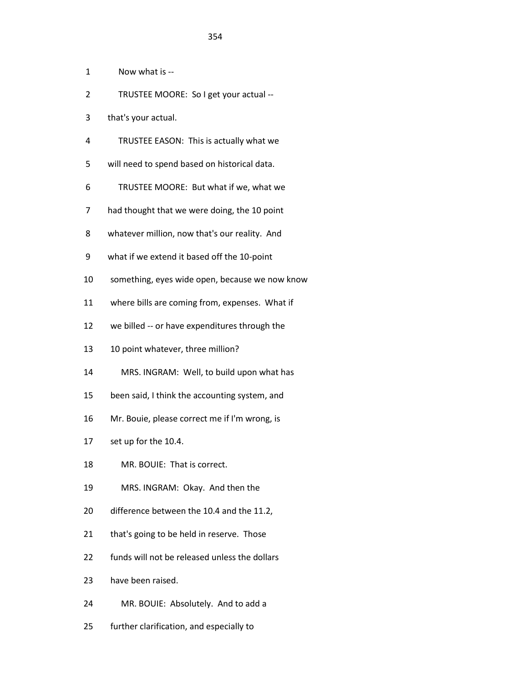1 Now what is --

- 2 TRUSTEE MOORE: So I get your actual --
- 3 that's your actual.
- 4 TRUSTEE EASON: This is actually what we
- 5 will need to spend based on historical data.
- 6 TRUSTEE MOORE: But what if we, what we
- 7 had thought that we were doing, the 10 point
- 8 whatever million, now that's our reality. And
- 9 what if we extend it based off the 10-point
- 10 something, eyes wide open, because we now know
- 11 where bills are coming from, expenses. What if
- 12 we billed -- or have expenditures through the
- 13 10 point whatever, three million?
- 14 MRS. INGRAM: Well, to build upon what has
- 15 been said, I think the accounting system, and
- 16 Mr. Bouie, please correct me if I'm wrong, is
- 17 set up for the 10.4.
- 18 MR. BOUIE: That is correct.
- 19 MRS. INGRAM: Okay. And then the
- 20 difference between the 10.4 and the 11.2,
- 21 that's going to be held in reserve. Those
- 22 funds will not be released unless the dollars
- 23 have been raised.
- 24 MR. BOUIE: Absolutely. And to add a
- 25 further clarification, and especially to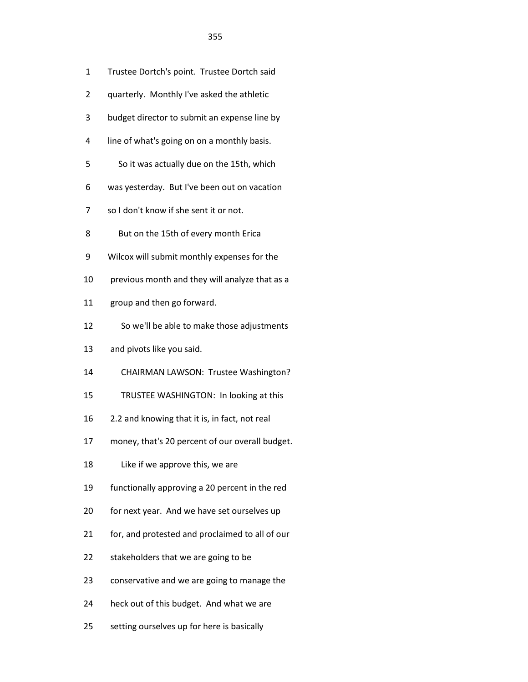- 2 quarterly. Monthly I've asked the athletic
- 3 budget director to submit an expense line by
- 4 line of what's going on on a monthly basis.
- 5 So it was actually due on the 15th, which
- 6 was yesterday. But I've been out on vacation
- 7 so I don't know if she sent it or not.
- 8 But on the 15th of every month Erica
- 9 Wilcox will submit monthly expenses for the
- 10 previous month and they will analyze that as a
- 11 group and then go forward.
- 12 So we'll be able to make those adjustments
- 13 and pivots like you said.
- 14 CHAIRMAN LAWSON: Trustee Washington?
- 15 TRUSTEE WASHINGTON: In looking at this
- 16 2.2 and knowing that it is, in fact, not real
- 17 money, that's 20 percent of our overall budget.
- 18 Like if we approve this, we are
- 19 functionally approving a 20 percent in the red
- 20 for next year. And we have set ourselves up
- 21 for, and protested and proclaimed to all of our
- 22 stakeholders that we are going to be
- 23 conservative and we are going to manage the
- 24 heck out of this budget. And what we are
- 25 setting ourselves up for here is basically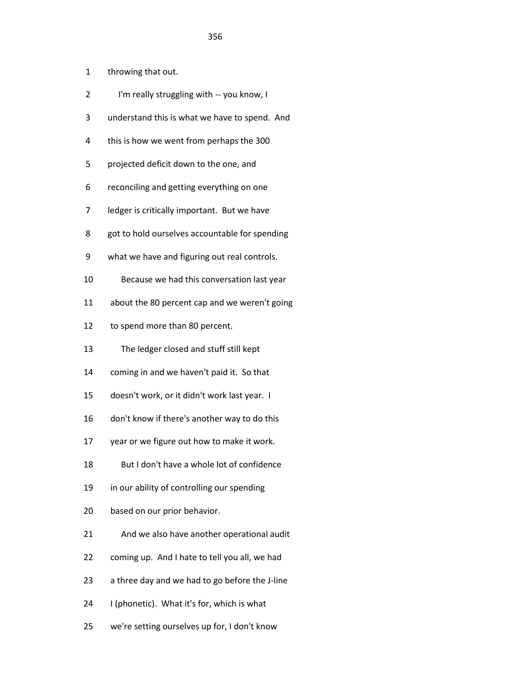- 1 throwing that out.
- 2 I'm really struggling with -- you know, I
- 3 understand this is what we have to spend. And
- 4 this is how we went from perhaps the 300
- 5 projected deficit down to the one, and
- 6 reconciling and getting everything on one
- 7 ledger is critically important. But we have
- 8 got to hold ourselves accountable for spending
- 9 what we have and figuring out real controls.
- 10 Because we had this conversation last year
- 11 about the 80 percent cap and we weren't going
- 12 to spend more than 80 percent.
- 13 The ledger closed and stuff still kept
- 14 coming in and we haven't paid it. So that
- 15 doesn't work, or it didn't work last year. I
- 16 don't know if there's another way to do this
- 17 year or we figure out how to make it work.
- 18 But I don't have a whole lot of confidence
- 19 in our ability of controlling our spending
- 20 based on our prior behavior.
- 21 And we also have another operational audit
- 22 coming up. And I hate to tell you all, we had
- 23 a three day and we had to go before the J-line
- 24 I (phonetic). What it's for, which is what
- 25 we're setting ourselves up for, I don't know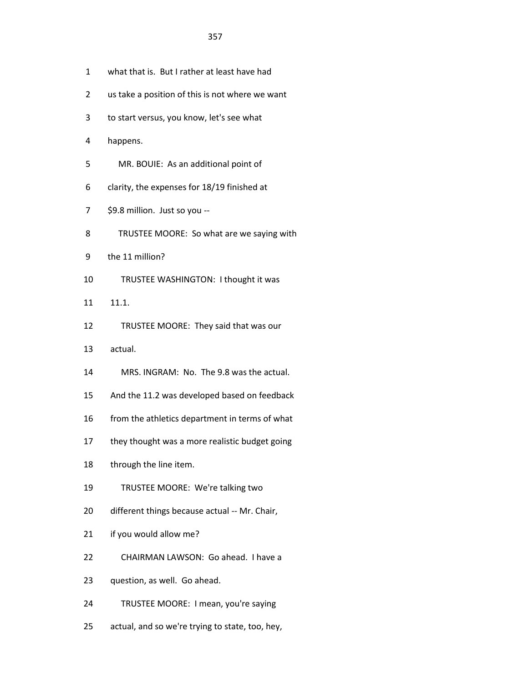- 1 what that is. But I rather at least have had
- 2 us take a position of this is not where we want
- 3 to start versus, you know, let's see what
- 4 happens.
- 5 MR. BOUIE: As an additional point of
- 6 clarity, the expenses for 18/19 finished at
- 7 \$9.8 million. Just so you --
- 8 TRUSTEE MOORE: So what are we saying with
- 9 the 11 million?
- 10 TRUSTEE WASHINGTON: I thought it was
- 11 11.1.
- 12 TRUSTEE MOORE: They said that was our
- 13 actual.
- 14 MRS. INGRAM: No. The 9.8 was the actual.
- 15 And the 11.2 was developed based on feedback
- 16 from the athletics department in terms of what
- 17 they thought was a more realistic budget going
- 18 through the line item.
- 19 TRUSTEE MOORE: We're talking two
- 20 different things because actual -- Mr. Chair,
- 21 if you would allow me?
- 22 CHAIRMAN LAWSON: Go ahead. I have a
- 23 question, as well. Go ahead.
- 24 TRUSTEE MOORE: I mean, you're saying
- 25 actual, and so we're trying to state, too, hey,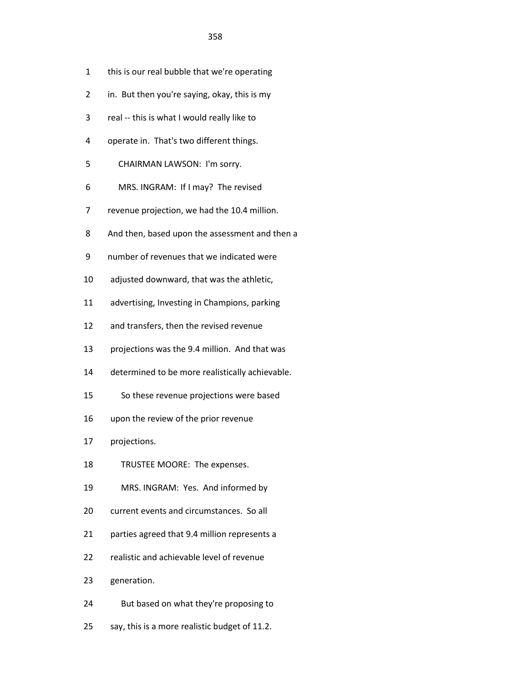- 2 in. But then you're saying, okay, this is my
- 3 real -- this is what I would really like to
- 4 operate in. That's two different things.
- 5 CHAIRMAN LAWSON: I'm sorry.
- 6 MRS. INGRAM: If I may? The revised
- 7 revenue projection, we had the 10.4 million.
- 8 And then, based upon the assessment and then a
- 9 number of revenues that we indicated were
- 10 adjusted downward, that was the athletic,
- 11 advertising, Investing in Champions, parking
- 12 and transfers, then the revised revenue
- 13 projections was the 9.4 million. And that was
- 14 determined to be more realistically achievable.
- 15 So these revenue projections were based
- 16 upon the review of the prior revenue
- 17 projections.
- 18 TRUSTEE MOORE: The expenses.
- 19 MRS. INGRAM: Yes. And informed by
- 20 current events and circumstances. So all
- 21 parties agreed that 9.4 million represents a
- 22 realistic and achievable level of revenue
- 23 generation.
- 24 But based on what they're proposing to
- 25 say, this is a more realistic budget of 11.2.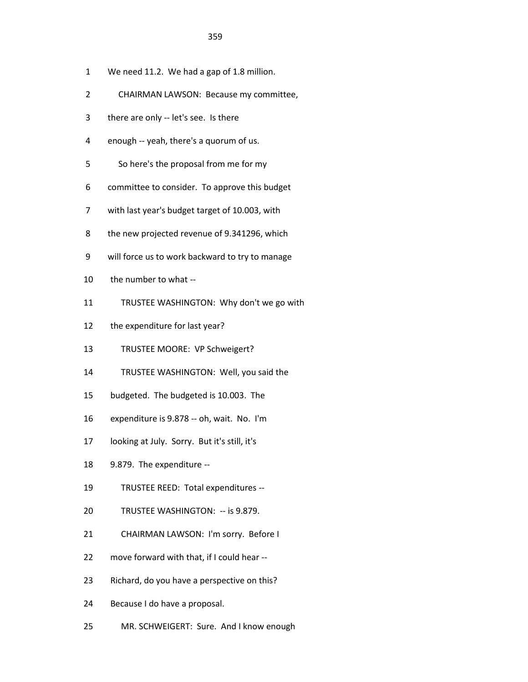- 1 We need 11.2. We had a gap of 1.8 million.
- 2 CHAIRMAN LAWSON: Because my committee,
- 3 there are only -- let's see. Is there
- 4 enough -- yeah, there's a quorum of us.
- 5 So here's the proposal from me for my
- 6 committee to consider. To approve this budget
- 7 with last year's budget target of 10.003, with
- 8 the new projected revenue of 9.341296, which
- 9 will force us to work backward to try to manage
- 10 the number to what --
- 11 TRUSTEE WASHINGTON: Why don't we go with
- 12 the expenditure for last year?
- 13 TRUSTEE MOORE: VP Schweigert?
- 14 TRUSTEE WASHINGTON: Well, you said the
- 15 budgeted. The budgeted is 10.003. The
- 16 expenditure is 9.878 -- oh, wait. No. I'm
- 17 looking at July. Sorry. But it's still, it's
- 18 9.879. The expenditure --
- 19 TRUSTEE REED: Total expenditures --
- 20 TRUSTEE WASHINGTON: -- is 9.879.
- 21 CHAIRMAN LAWSON: I'm sorry. Before I
- 22 move forward with that, if I could hear --
- 23 Richard, do you have a perspective on this?
- 24 Because I do have a proposal.
- 25 MR. SCHWEIGERT: Sure. And I know enough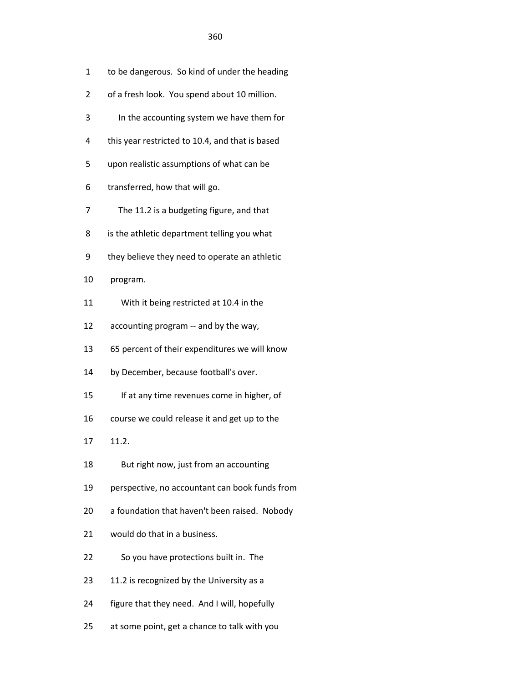1 to be dangerous. So kind of under the heading

- 2 of a fresh look. You spend about 10 million.
- 3 In the accounting system we have them for
- 4 this year restricted to 10.4, and that is based
- 5 upon realistic assumptions of what can be
- 6 transferred, how that will go.
- 7 The 11.2 is a budgeting figure, and that
- 8 is the athletic department telling you what
- 9 they believe they need to operate an athletic
- 10 program.
- 11 With it being restricted at 10.4 in the
- 12 accounting program -- and by the way,
- 13 65 percent of their expenditures we will know
- 14 by December, because football's over.
- 15 If at any time revenues come in higher, of
- 16 course we could release it and get up to the
- 17 11.2.
- 18 But right now, just from an accounting
- 19 perspective, no accountant can book funds from
- 20 a foundation that haven't been raised. Nobody
- 21 would do that in a business.
- 22 So you have protections built in. The
- 23 11.2 is recognized by the University as a
- 24 figure that they need. And I will, hopefully
- 25 at some point, get a chance to talk with you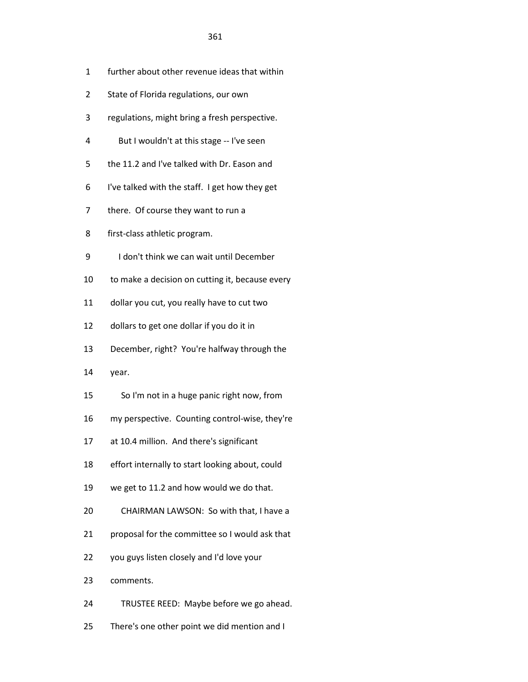- 1 further about other revenue ideas that within
- 2 State of Florida regulations, our own
- 3 regulations, might bring a fresh perspective.
- 4 But I wouldn't at this stage -- I've seen
- 5 the 11.2 and I've talked with Dr. Eason and
- 6 I've talked with the staff. I get how they get
- 7 there. Of course they want to run a
- 8 first-class athletic program.
- 9 I don't think we can wait until December
- 10 to make a decision on cutting it, because every
- 11 dollar you cut, you really have to cut two
- 12 dollars to get one dollar if you do it in
- 13 December, right? You're halfway through the
- 14 year.
- 15 So I'm not in a huge panic right now, from
- 16 my perspective. Counting control-wise, they're
- 17 at 10.4 million. And there's significant
- 18 effort internally to start looking about, could
- 19 we get to 11.2 and how would we do that.
- 20 CHAIRMAN LAWSON: So with that, I have a
- 21 proposal for the committee so I would ask that
- 22 you guys listen closely and I'd love your
- 23 comments.
- 24 TRUSTEE REED: Maybe before we go ahead.
- 25 There's one other point we did mention and I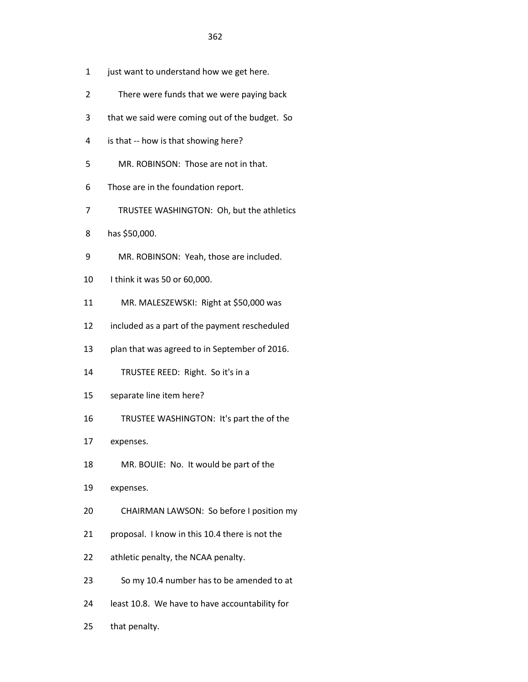- 1 just want to understand how we get here.
- 2 There were funds that we were paying back
- 3 that we said were coming out of the budget. So
- 4 is that -- how is that showing here?
- 5 MR. ROBINSON: Those are not in that.
- 6 Those are in the foundation report.
- 7 TRUSTEE WASHINGTON: Oh, but the athletics
- 8 has \$50,000.
- 9 MR. ROBINSON: Yeah, those are included.
- 10 I think it was 50 or 60,000.
- 11 MR. MALESZEWSKI: Right at \$50,000 was
- 12 included as a part of the payment rescheduled
- 13 plan that was agreed to in September of 2016.
- 14 TRUSTEE REED: Right. So it's in a
- 15 separate line item here?
- 16 TRUSTEE WASHINGTON: It's part the of the
- 17 expenses.
- 18 MR. BOUIE: No. It would be part of the
- 19 expenses.
- 20 CHAIRMAN LAWSON: So before I position my
- 21 proposal. I know in this 10.4 there is not the
- 22 athletic penalty, the NCAA penalty.
- 23 So my 10.4 number has to be amended to at
- 24 least 10.8. We have to have accountability for
- 25 that penalty.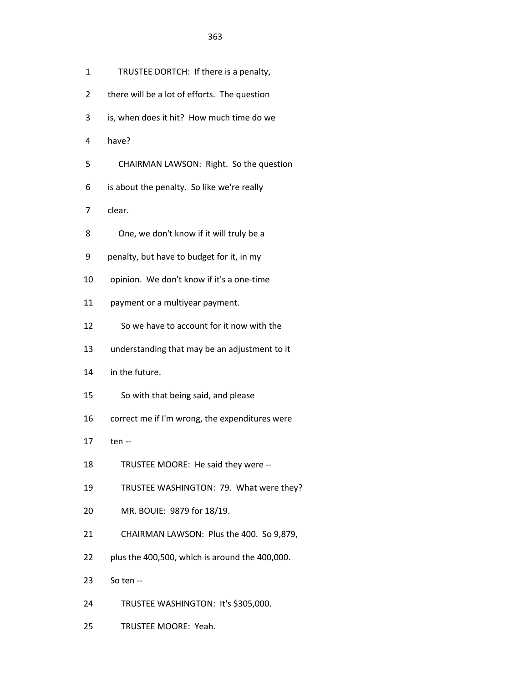- 1 TRUSTEE DORTCH: If there is a penalty,
- 2 there will be a lot of efforts. The question
- 3 is, when does it hit? How much time do we
- 4 have?
- 5 CHAIRMAN LAWSON: Right. So the question
- 6 is about the penalty. So like we're really
- 7 clear.
- 8 One, we don't know if it will truly be a
- 9 penalty, but have to budget for it, in my
- 10 opinion. We don't know if it's a one-time
- 11 payment or a multiyear payment.
- 12 So we have to account for it now with the
- 13 understanding that may be an adjustment to it
- 14 in the future.
- 15 So with that being said, and please
- 16 correct me if I'm wrong, the expenditures were
- 17 ten --
- 18 TRUSTEE MOORE: He said they were --
- 19 TRUSTEE WASHINGTON: 79. What were they?
- 20 MR. BOUIE: 9879 for 18/19.
- 21 CHAIRMAN LAWSON: Plus the 400. So 9,879,
- 22 plus the 400,500, which is around the 400,000.
- 23 So ten --
- 24 TRUSTEE WASHINGTON: It's \$305,000.
- 25 TRUSTEE MOORE: Yeah.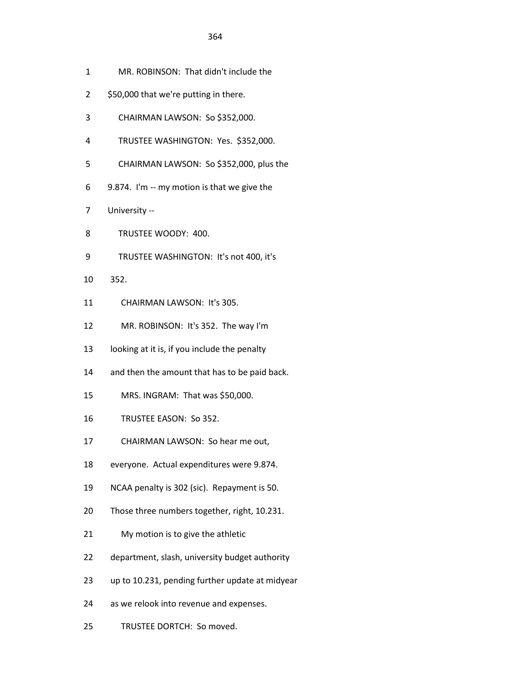- 1 MR. ROBINSON: That didn't include the
- 2 \$50,000 that we're putting in there.
- 3 CHAIRMAN LAWSON: So \$352,000.
- 4 TRUSTEE WASHINGTON: Yes. \$352,000.
- 5 CHAIRMAN LAWSON: So \$352,000, plus the
- 6 9.874. I'm -- my motion is that we give the
- 7 University --
- 8 TRUSTEE WOODY: 400.
- 9 TRUSTEE WASHINGTON: It's not 400, it's
- 10 352.
- 11 CHAIRMAN LAWSON: It's 305.
- 12 MR. ROBINSON: It's 352. The way I'm
- 13 looking at it is, if you include the penalty
- 14 and then the amount that has to be paid back.
- 15 MRS. INGRAM: That was \$50,000.
- 16 TRUSTEE EASON: So 352.
- 17 CHAIRMAN LAWSON: So hear me out,
- 18 everyone. Actual expenditures were 9.874.
- 19 NCAA penalty is 302 (sic). Repayment is 50.
- 20 Those three numbers together, right, 10.231.
- 21 My motion is to give the athletic
- 22 department, slash, university budget authority
- 23 up to 10.231, pending further update at midyear
- 24 as we relook into revenue and expenses.
- 25 TRUSTEE DORTCH: So moved.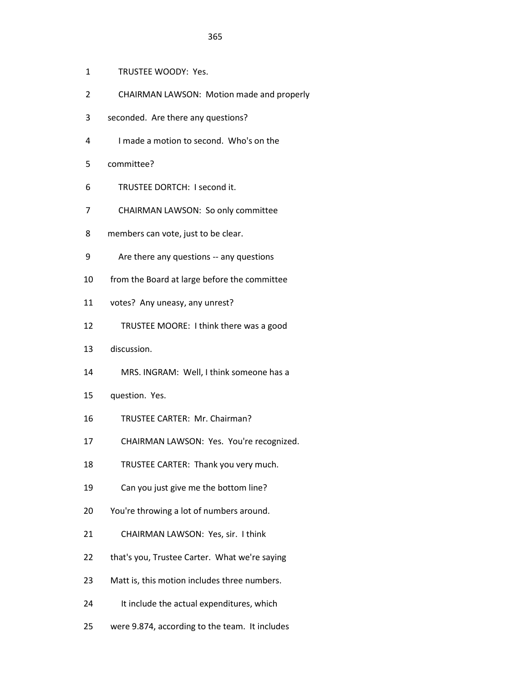- 1 TRUSTEE WOODY: Yes.
- 2 CHAIRMAN LAWSON: Motion made and properly
- 3 seconded. Are there any questions?
- 4 I made a motion to second. Who's on the
- 5 committee?
- 6 TRUSTEE DORTCH: I second it.
- 7 CHAIRMAN LAWSON: So only committee
- 8 members can vote, just to be clear.
- 9 Are there any questions -- any questions
- 10 from the Board at large before the committee
- 11 votes? Any uneasy, any unrest?
- 12 TRUSTEE MOORE: I think there was a good
- 13 discussion.
- 14 MRS. INGRAM: Well, I think someone has a
- 15 question. Yes.
- 16 TRUSTEE CARTER: Mr. Chairman?
- 17 CHAIRMAN LAWSON: Yes. You're recognized.
- 18 TRUSTEE CARTER: Thank you very much.
- 19 Can you just give me the bottom line?
- 20 You're throwing a lot of numbers around.
- 21 CHAIRMAN LAWSON: Yes, sir. I think
- 22 that's you, Trustee Carter. What we're saying
- 23 Matt is, this motion includes three numbers.
- 24 It include the actual expenditures, which
- 25 were 9.874, according to the team. It includes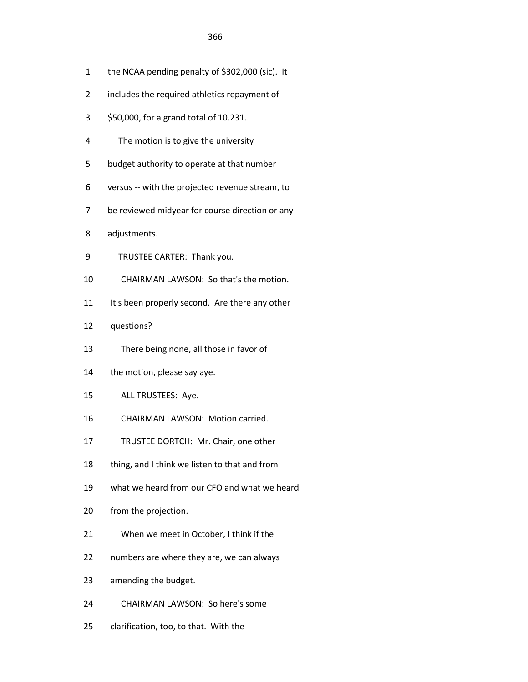- 1 the NCAA pending penalty of \$302,000 (sic). It
- 2 includes the required athletics repayment of
- 3 \$50,000, for a grand total of 10.231.
- 4 The motion is to give the university
- 5 budget authority to operate at that number
- 6 versus -- with the projected revenue stream, to
- 7 be reviewed midyear for course direction or any
- 8 adjustments.
- 9 TRUSTEE CARTER: Thank you.
- 10 CHAIRMAN LAWSON: So that's the motion.
- 11 It's been properly second. Are there any other
- 12 questions?
- 13 There being none, all those in favor of
- 14 the motion, please say aye.
- 15 ALL TRUSTEES: Aye.
- 16 CHAIRMAN LAWSON: Motion carried.
- 17 TRUSTEE DORTCH: Mr. Chair, one other
- 18 thing, and I think we listen to that and from
- 19 what we heard from our CFO and what we heard
- 20 from the projection.
- 21 When we meet in October, I think if the
- 22 numbers are where they are, we can always
- 23 amending the budget.
- 24 CHAIRMAN LAWSON: So here's some
- 25 clarification, too, to that. With the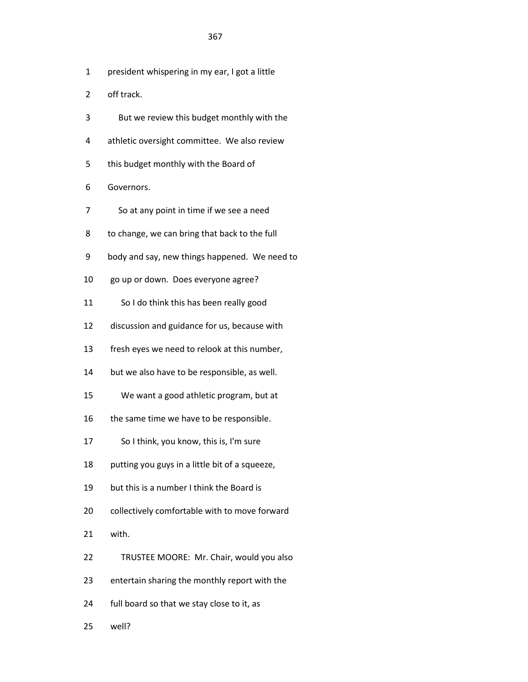- 1 president whispering in my ear, I got a little
- 2 off track.
- 3 But we review this budget monthly with the
- 4 athletic oversight committee. We also review
- 5 this budget monthly with the Board of
- 6 Governors.
- 7 So at any point in time if we see a need
- 8 to change, we can bring that back to the full
- 9 body and say, new things happened. We need to
- 10 go up or down. Does everyone agree?
- 11 So I do think this has been really good
- 12 discussion and guidance for us, because with
- 13 fresh eyes we need to relook at this number,
- 14 but we also have to be responsible, as well.
- 15 We want a good athletic program, but at
- 16 the same time we have to be responsible.
- 17 So I think, you know, this is, I'm sure
- 18 putting you guys in a little bit of a squeeze,
- 19 but this is a number I think the Board is
- 20 collectively comfortable with to move forward
- 21 with.
- 22 TRUSTEE MOORE: Mr. Chair, would you also
- 23 entertain sharing the monthly report with the
- 24 full board so that we stay close to it, as
- 25 well?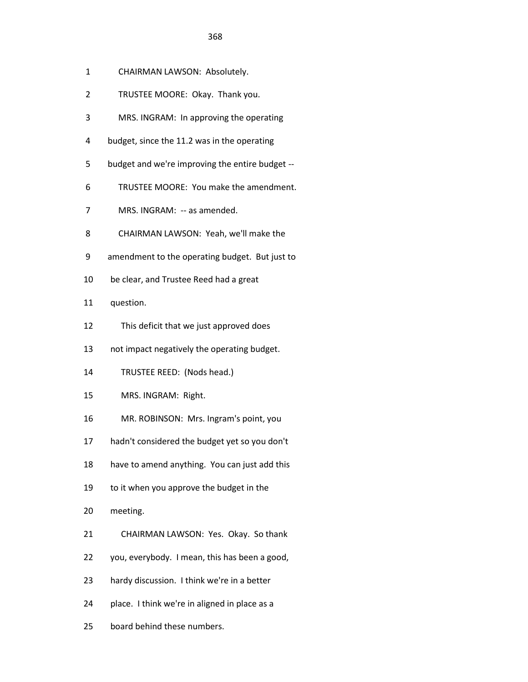- 1 CHAIRMAN LAWSON: Absolutely.
- 2 TRUSTEE MOORE: Okay. Thank you.
- 3 MRS. INGRAM: In approving the operating
- 4 budget, since the 11.2 was in the operating
- 5 budget and we're improving the entire budget --
- 6 TRUSTEE MOORE: You make the amendment.
- 7 MRS. INGRAM: -- as amended.
- 8 CHAIRMAN LAWSON: Yeah, we'll make the
- 9 amendment to the operating budget. But just to
- 10 be clear, and Trustee Reed had a great
- 11 question.
- 12 This deficit that we just approved does
- 13 not impact negatively the operating budget.
- 14 TRUSTEE REED: (Nods head.)
- 15 MRS. INGRAM: Right.
- 16 MR. ROBINSON: Mrs. Ingram's point, you
- 17 hadn't considered the budget yet so you don't
- 18 have to amend anything. You can just add this
- 19 to it when you approve the budget in the
- 20 meeting.
- 21 CHAIRMAN LAWSON: Yes. Okay. So thank
- 22 you, everybody. I mean, this has been a good,
- 23 hardy discussion. I think we're in a better
- 24 place. I think we're in aligned in place as a
- 25 board behind these numbers.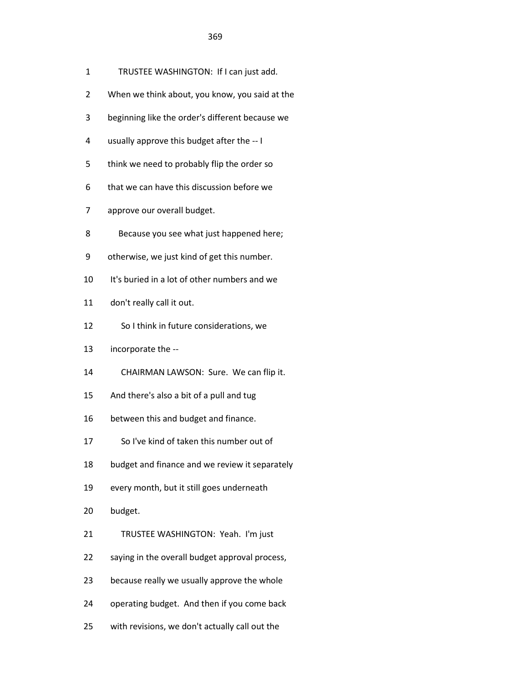- 1 TRUSTEE WASHINGTON: If I can just add.
- 2 When we think about, you know, you said at the
- 3 beginning like the order's different because we
- 4 usually approve this budget after the -- I
- 5 think we need to probably flip the order so
- 6 that we can have this discussion before we
- 7 approve our overall budget.
- 8 Because you see what just happened here;
- 9 otherwise, we just kind of get this number.
- 10 It's buried in a lot of other numbers and we
- 11 don't really call it out.
- 12 So I think in future considerations, we
- 13 incorporate the --
- 14 CHAIRMAN LAWSON: Sure. We can flip it.
- 15 And there's also a bit of a pull and tug
- 16 between this and budget and finance.
- 17 So I've kind of taken this number out of
- 18 budget and finance and we review it separately
- 19 every month, but it still goes underneath
- 20 budget.
- 21 TRUSTEE WASHINGTON: Yeah. I'm just
- 22 saying in the overall budget approval process,
- 23 because really we usually approve the whole
- 24 operating budget. And then if you come back
- 25 with revisions, we don't actually call out the